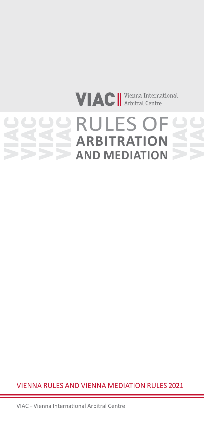# **VIAC** Nienna International Rules of **Arbitration AND MEDIATION**

VIENNA RULES AND VIENNA MEDIATION RULES 2021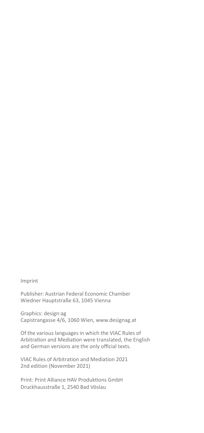Imprint

Publisher: Austrian Federal Economic Chamber Wiedner Hauptstraße 63, 1045 Vienna

Graphics: design:ag Capistrangasse 4/6, 1060 Wien, www.designag.at

Of the various languages in which the VIAC Rules of Arbitration and Mediation were translated, the English and German versions are the only official texts.

VIAC Rules of Arbitration and Mediation 2021 2nd edition (November 2021)

Print: Print Alliance HAV Produktions GmbH Druckhausstraße 1, 2540 Bad Vöslau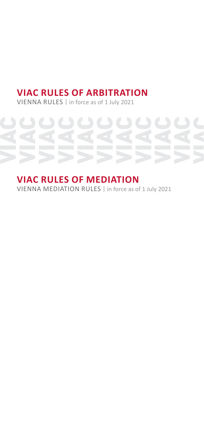# **VIAC Rules of Arbitration**

VIENNA RULES | in force as of 1 July 2021

#### 00000  $\leq$ **3333333 The Company Contract** F F.

# **VIAC Rules of Mediation**

VIENNA MEDIATION RULES | in force as of 1 July 2021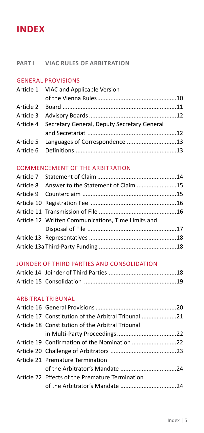# **Index**

#### **PART I VIAC Rules of Arbitration**

#### GENERAL PROVISIONS

| Article 4 Secretary General, Deputy Secretary General |  |
|-------------------------------------------------------|--|
|                                                       |  |
|                                                       |  |
|                                                       |  |

#### COMMENCEMENT OF THE ARBITRATION

| Article 12 Written Communications, Time Limits and |  |
|----------------------------------------------------|--|
|                                                    |  |
|                                                    |  |
|                                                    |  |

#### Joinder of Third Parties and Consolidation

#### ARBITRAL TRIBUNAL

| Article 17 Constitution of the Arbitral Tribunal 21 |  |
|-----------------------------------------------------|--|
| Article 18 Constitution of the Arbitral Tribunal    |  |
|                                                     |  |
| Article 19 Confirmation of the Nomination 22        |  |
|                                                     |  |
| Article 21 Premature Termination                    |  |
|                                                     |  |
| Article 22 Effects of the Premature Termination     |  |
|                                                     |  |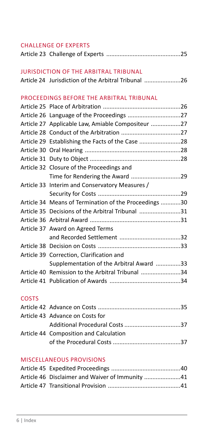### CHALLENGE OF EXPERTS Article 23 Challenge of experts 25 JURISDICTION OF THE ARBITRAL TRIBUNAL Article 24 Jurisdiction of the Arbitral Tribunal ..........................26 PROCEEDINGS BEFORE THE ARBITRAL TRIBUNAL Article 25 Place of arbitration 26 Article 26 Language of the Proceedings .................................27 Article 27 Applicable Law, Amiable Compositeur ..................27 Article 28 Conduct of the arbitration 27 Article 29 Establishing the Facts of the Case ............................28 Article 30 Oral Hearing 28 Article 31 Duty to object 28 Article 32 Closure of the Proceedings and Time for Rendering the Award 29 Article 33 Interim and conservatory measures / security for costs 29 Article 34 Means of Termination of the Proceedings ............30

| Article 35 Decisions of the Arbitral Tribunal 31 |  |
|--------------------------------------------------|--|
|                                                  |  |
| Article 37 Award on Agreed Terms                 |  |
|                                                  |  |
|                                                  |  |
| Article 39 Correction, Clarification and         |  |
| Supplementation of the Arbitral Award 33         |  |
| Article 40 Remission to the Arbitral Tribunal 34 |  |
|                                                  |  |

#### COSTS

| Article 43 Advance on Costs for        |  |
|----------------------------------------|--|
|                                        |  |
| Article 44 Composition and Calculation |  |
|                                        |  |

#### MISCELLANEOUS PROVISIONS

| Article 46 Disclaimer and Waiver of Immunity 41 |  |
|-------------------------------------------------|--|
|                                                 |  |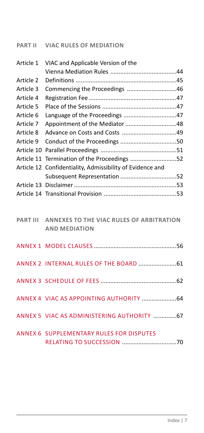#### **PART II VIAC Rules of Mediation**

| Article 1 | VIAC and Applicable Version of the                                        |  |
|-----------|---------------------------------------------------------------------------|--|
|           |                                                                           |  |
| Article 2 |                                                                           |  |
| Article 3 | Commencing the Proceedings 46                                             |  |
| Article 4 |                                                                           |  |
| Article 5 |                                                                           |  |
| Article 6 |                                                                           |  |
| Article 7 | Appointment of the Mediator 48                                            |  |
| Article 8 |                                                                           |  |
| Article 9 |                                                                           |  |
|           |                                                                           |  |
|           | Article 11 Termination of the Proceedings 52                              |  |
|           | Article 12 Confidentiality, Admissibility of Evidence and                 |  |
|           |                                                                           |  |
|           |                                                                           |  |
|           |                                                                           |  |
|           | PART III ANNEXES TO THE VIAC RULES OF ARBITRATION<br><b>AND MEDIATION</b> |  |
|           |                                                                           |  |
|           | ANNEX 2 INTERNAL RULES OF THE BOARD  61                                   |  |
|           |                                                                           |  |
|           |                                                                           |  |
|           | ANNEX 5 VIAC AS ADMINISTERING AUTHORITY  67                               |  |
|           | <b>ANNEX 6 SUPPLEMENTARY RULES FOR DISPUTES</b>                           |  |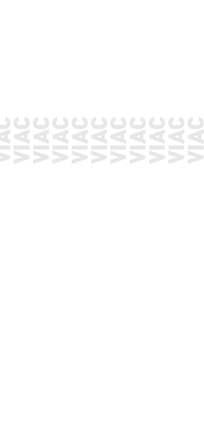# SSSSSSSSSSSSSS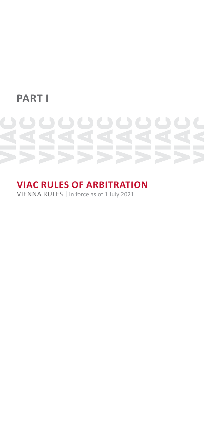# **PART I**

# SSSSSSSSSSS E.

# **VIAC Rules of Arbitration**

VIENNA RULES | in force as of 1 July 2021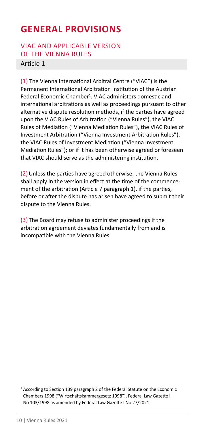# **GENERAL PROVISIONS**

#### VIAC AND APPLICABLE VERSION OF THE VIENNA RULES

Article 1

(1) The Vienna International Arbitral Centre ("VIAC") is the Permanent International Arbitration Institution of the Austrian Federal Economic Chamber<sup>1</sup>. VIAC administers domestic and international arbitrations as well as proceedings pursuant to other alternative dispute resolution methods, if the parties have agreed upon the VIAC Rules of Arbitration ("Vienna Rules"), the VIAC Rules of Mediation ("Vienna Mediation Rules"), the VIAC Rules of Investment Arbitration ("Vienna Investment Arbitration Rules"), the VIAC Rules of Investment Mediation ("Vienna Investment Mediation Rules"); or if it has been otherwise agreed or foreseen that VIAC should serve as the administering institution.

(2)Unless the parties have agreed otherwise, the Vienna Rules shall apply in the version in effect at the time of the commencement of the arbitration (Article 7 paragraph 1), if the parties, before or after the dispute has arisen have agreed to submit their dispute to the Vienna Rules.

(3) The Board may refuse to administer proceedings if the arbitration agreement deviates fundamentally from and is incompatible with the Vienna Rules.

<sup>1</sup> According to Section 139 paragraph 2 of the Federal Statute on the Economic Chambers 1998 ("Wirtschaftskammergesetz 1998"), Federal Law Gazette I No 103/1998 as amended by Federal Law Gazette I No 27/2021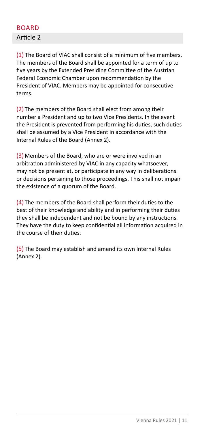#### **BOARD**

Article 2

(1) The Board of VIAC shall consist of a minimum of five members. The members of the Board shall be appointed for a term of up to five years by the Extended Presiding Committee of the Austrian Federal Economic Chamber upon recommendation by the President of VIAC. Members may be appointed for consecutive terms.

(2) The members of the Board shall elect from among their number a President and up to two Vice Presidents. In the event the President is prevented from performing his duties, such duties shall be assumed by a Vice President in accordance with the Internal Rules of the Board (Annex 2).

(3) Members of the Board, who are or were involved in an arbitration administered by VIAC in any capacity whatsoever, may not be present at, or participate in any way in deliberations or decisions pertaining to those proceedings. This shall not impair the existence of a quorum of the Board.

(4) The members of the Board shall perform their duties to the best of their knowledge and ability and in performing their duties they shall be independent and not be bound by any instructions. They have the duty to keep confidential all information acquired in the course of their duties.

(5) The Board may establish and amend its own Internal Rules (Annex 2).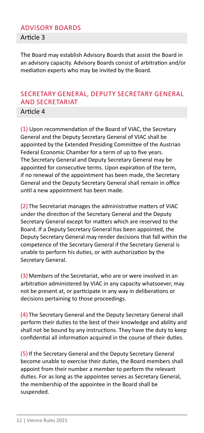#### ADVISORY BOARDS

#### Article 3

The Board may establish Advisory Boards that assist the Board in an advisory capacity. Advisory Boards consist of arbitration and/or mediation experts who may be invited by the Board.

#### SECRETARY GENERAL, DEPUTY SECRETARY GENERAL AND SECRETARIAT

Article 4

(1) Upon recommendation of the Board of VIAC, the Secretary General and the Deputy Secretary General of VIAC shall be appointed by the Extended Presiding Committee of the Austrian Federal Economic Chamber for a term of up to five years. The Secretary General and Deputy Secretary General may be appointed for consecutive terms. Upon expiration of the term, if no renewal of the appointment has been made, the Secretary General and the Deputy Secretary General shall remain in office until a new appointment has been made.

(2) The Secretariat manages the administrative matters of VIAC under the direction of the Secretary General and the Deputy Secretary General except for matters which are reserved to the Board. If a Deputy Secretary General has been appointed, the Deputy Secretary General may render decisions that fall within the competence of the Secretary General if the Secretary General is unable to perform his duties, or with authorization by the Secretary General.

(3) Members of the Secretariat, who are or were involved in an arbitration administered by VIAC in any capacity whatsoever, may not be present at, or participate in any way in deliberations or decisions pertaining to those proceedings.

(4) The Secretary General and the Deputy Secretary General shall perform their duties to the best of their knowledge and ability and shall not be bound by any instructions. They have the duty to keep confidential all information acquired in the course of their duties.

(5)If the Secretary General and the Deputy Secretary General become unable to exercise their duties, the Board members shall appoint from their number a member to perform the relevant duties. For as long as the appointee serves as Secretary General, the membership of the appointee in the Board shall be suspended.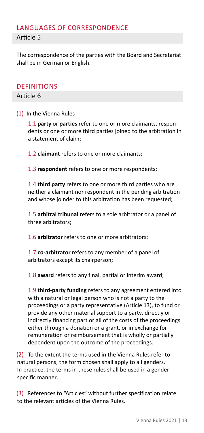#### LANGUAGES Of CORRESPONDENCE

#### Article 5

The correspondence of the parties with the Board and Secretariat shall be in German or English.

#### **DEFINITIONS**

#### Article 6

(1) In the Vienna Rules

1.1 **party** or **parties** refer to one or more claimants, respondents or one or more third parties joined to the arbitration in a statement of claim;

1.2 **claimant** refers to one or more claimants;

1.3 **respondent** refers to one or more respondents;

1.4 **third party** refers to one or more third parties who are neither a claimant nor respondent in the pending arbitration and whose joinder to this arbitration has been requested;

1.5 **arbitral tribunal** refers to a sole arbitrator or a panel of three arbitrators;

1.6 **arbitrator** refers to one or more arbitrators;

1.7 **co-arbitrator** refers to any member of a panel of arbitrators except its chairperson;

1.8 **award** refers to any final, partial or interim award;

1.9 **third-party funding** refers to any agreement entered into with a natural or legal person who is not a party to the proceedings or a party representative (Article 13), to fund or provide any other material support to a party, directly or indirectly financing part or all of the costs of the proceedings either through a donation or a grant, or in exchange for remuneration or reimbursement that is wholly or partially dependent upon the outcome of the proceedings.

(2) To the extent the terms used in the Vienna Rules refer to natural persons, the form chosen shall apply to all genders. In practice, the terms in these rules shall be used in a genderspecific manner.

(3) References to "Articles" without further specification relate to the relevant articles of the Vienna Rules.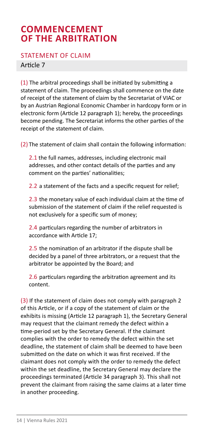# **COMMENCEMENT OF THE ARBITRATION**

# STATEMENT OF CLAIM

Article 7

(1) The arbitral proceedings shall be initiated by submitting a statement of claim. The proceedings shall commence on the date of receipt of the statement of claim by the Secretariat of VIAC or by an Austrian Regional Economic Chamber in hardcopy form or in electronic form (Article 12 paragraph 1); hereby, the proceedings become pending. The Secretariat informs the other parties of the receipt of the statement of claim.

(2) The statement of claim shall contain the following information:

2.1 the full names, addresses, including electronic mail addresses, and other contact details of the parties and any comment on the parties' nationalities;

2.2 a statement of the facts and a specific request for relief;

2.3 the monetary value of each individual claim at the time of submission of the statement of claim if the relief requested is not exclusively for a specific sum of money;

2.4 particulars regarding the number of arbitrators in accordance with Article 17;

2.5 the nomination of an arbitrator if the dispute shall be decided by a panel of three arbitrators, or a request that the arbitrator be appointed by the Board; and

2.6 particulars regarding the arbitration agreement and its content.

(3) If the statement of claim does not comply with paragraph 2 of this Article, or if a copy of the statement of claim or the exhibits is missing (Article 12 paragraph 1), the Secretary General may request that the claimant remedy the defect within a time-period set by the Secretary General. If the claimant complies with the order to remedy the defect within the set deadline, the statement of claim shall be deemed to have been submitted on the date on which it was first received. If the claimant does not comply with the order to remedy the defect within the set deadline, the Secretary General may declare the proceedings terminated (Article 34 paragraph 3). This shall not prevent the claimant from raising the same claims at a later time in another proceeding.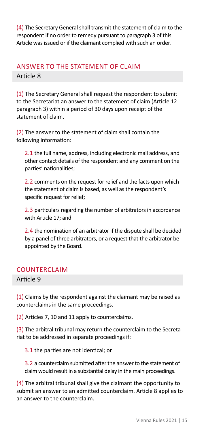(4) The Secretary General shall transmit the statement of claim to the respondent if no order to remedy pursuant to paragraph 3 of this Article was issued or if the claimant complied with such an order.

#### ANSWER TO THE STATEMENT OF CLAIM Article 8

(1) The Secretary General shall request the respondent to submit to the Secretariat an answer to the statement of claim (Article 12 paragraph 3) within a period of 30 days upon receipt of the statement of claim.

(2) The answer to the statement of claim shall contain the following information:

2.1 the full name, address, including electronic mail address, and other contact details of the respondent and any comment on the parties' nationalities;

2.2 comments on the request for relief and the facts upon which the statement of claim is based, as well as the respondent's specific request for relief;

2.3 particulars regarding the number of arbitrators in accordance with Article 17; and

2.4 the nomination of an arbitrator if the dispute shall be decided by a panel of three arbitrators, or a request that the arbitrator be appointed by the Board.

#### COUNTERCLAIM

Article 9

(1) Claims by the respondent against the claimant may be raised as counterclaims in the same proceedings.

(2) Articles 7, 10 and 11 apply to counterclaims.

(3) The arbitral tribunal may return the counterclaim to the Secretariat to be addressed in separate proceedings if:

3.1 the parties are not identical; or

3.2 a counterclaim submitted after the answer to the statement of claim would result in a substantial delay in the main proceedings.

(4) The arbitral tribunal shall give the claimant the opportunity to submit an answer to an admitted counterclaim. Article 8 applies to an answer to the counterclaim.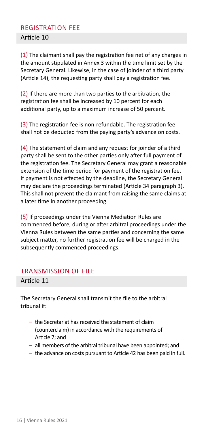#### REGISTRATION FEE

#### Article 10

(1) The claimant shall pay the registration fee net of any charges in the amount stipulated in Annex 3 within the time limit set by the Secretary General. Likewise, in the case of joinder of a third party (Article 14), the requesting party shall pay a registration fee.

(2) If there are more than two parties to the arbitration, the registration fee shall be increased by 10 percent for each additional party, up to a maximum increase of 50 percent.

(3) The registration fee is non-refundable. The registration fee shall not be deducted from the paying party's advance on costs.

(4) The statement of claim and any request for joinder of a third party shall be sent to the other parties only after full payment of the registration fee. The Secretary General may grant a reasonable extension of the time period for payment of the registration fee. If payment is not effected by the deadline, the Secretary General may declare the proceedings terminated (Article 34 paragraph 3). This shall not prevent the claimant from raising the same claims at a later time in another proceeding.

(5) If proceedings under the Vienna Mediation Rules are commenced before, during or after arbitral proceedings under the Vienna Rules between the same parties and concerning the same subject matter, no further registration fee will be charged in the subsequently commenced proceedings.

# TRANSMISSION OF FILE

Article 11

The Secretary General shall transmit the file to the arbitral tribunal if:

- the Secretariat has received the statement of claim (counterclaim) in accordance with the requirements of Article 7; and
- all members of the arbitral tribunal have been appointed; and
- the advance on costs pursuant to Article 42 has been paid in full.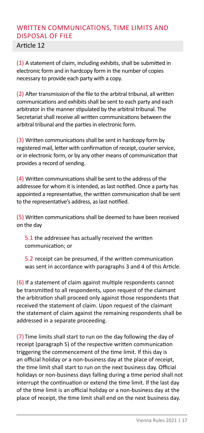# WRITTEN COMMUNICATIONS, TIME LIMITS AND DISPOSAL OF FILE

Article 12

(1) A statement of claim, including exhibits, shall be submitted in electronic form and in hardcopy form in the number of copies necessary to provide each party with a copy.

(2) After transmission of the file to the arbitral tribunal, all written communications and exhibits shall be sent to each party and each arbitrator in the manner stipulated by the arbitral tribunal. The Secretariat shall receive all written communications between the arbitral tribunal and the parties in electronic form.

(3) Written communications shall be sent in hardcopy form by registered mail, letter with confirmation of receipt, courier service, or in electronic form, or by any other means of communication that provides a record of sending.

(4) Written communications shall be sent to the address of the addressee for whom it is intended, as last notified. Once a party has appointed a representative, the written communication shall be sent to the representative's address, as last notified.

(5) Written communications shall be deemed to have been received on the day

5.1 the addressee has actually received the written communication; or

5.2 receipt can be presumed, if the written communication was sent in accordance with paragraphs 3 and 4 of this Article.

(6) If a statement of claim against multiple respondents cannot be transmitted to all respondents, upon request of the claimant the arbitration shall proceed only against those respondents that received the statement of claim. Upon request of the claimant the statement of claim against the remaining respondents shall be addressed in a separate proceeding.

(7) Time limits shall start to run on the day following the day of receipt (paragraph 5) of the respective written communication triggering the commencement of the time limit. If this day is an official holiday or a non-business day at the place of receipt, the time limit shall start to run on the next business day. Official holidays or non-business days falling during a time period shall not interrupt the continuation or extend the time limit. If the last day of the time limit is an official holiday or a non-business day at the place of receipt, the time limit shall end on the next business day.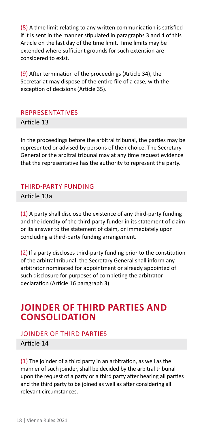(8) A time limit relating to any written communication is satisfied if it is sent in the manner stipulated in paragraphs 3 and 4 of this Article on the last day of the time limit. Time limits may be extended where sufficient grounds for such extension are considered to exist.

(9) After termination of the proceedings (Article 34), the Secretariat may dispose of the entire file of a case, with the exception of decisions (Article 35).

#### REPRESENTATIVES

Article 13

In the proceedings before the arbitral tribunal, the parties may be represented or advised by persons of their choice. The Secretary General or the arbitral tribunal may at any time request evidence that the representative has the authority to represent the party.

#### THIRD-PARTY FUNDING

Article 13a

(1) A party shall disclose the existence of any third-party funding and the identity of the third-party funder in its statement of claim or its answer to the statement of claim, or immediately upon concluding a third-party funding arrangement.

 $(2)$  If a party discloses third-party funding prior to the constitution of the arbitral tribunal, the Secretary General shall inform any arbitrator nominated for appointment or already appointed of such disclosure for purposes of completing the arbitrator declaration (Article 16 paragraph 3).

# **JOINDER OF THIRD PARTIES AND CONSOLIDATION**

#### JOINDER OF THIRD PARTIES

Article 14

(1) The joinder of a third party in an arbitration, as well as the manner of such joinder, shall be decided by the arbitral tribunal upon the request of a party or a third party after hearing all parties and the third party to be joined as well as after considering all relevant circumstances.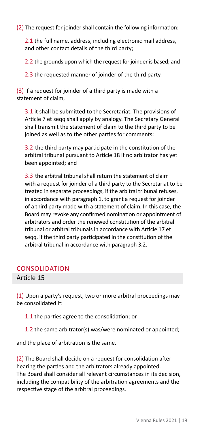(2) The request for joinder shall contain the following information:

2.1 the full name, address, including electronic mail address, and other contact details of the third party;

2.2 the grounds upon which the request for joinder is based; and

2.3 the requested manner of joinder of the third party.

(3) If a request for joinder of a third party is made with a statement of claim,

3.1 it shall be submitted to the Secretariat. The provisions of Article 7 et seqq shall apply by analogy. The Secretary General shall transmit the statement of claim to the third party to be joined as well as to the other parties for comments;

3.2 the third party may participate in the constitution of the arbitral tribunal pursuant to Article 18 if no arbitrator has yet been appointed; and

3.3 the arbitral tribunal shall return the statement of claim with a request for joinder of a third party to the Secretariat to be treated in separate proceedings, if the arbitral tribunal refuses, in accordance with paragraph 1, to grant a request for joinder of a third party made with a statement of claim. In this case, the Board may revoke any confirmed nomination or appointment of arbitrators and order the renewed constitution of the arbitral tribunal or arbitral tribunals in accordance with Article 17 et seqq, if the third party participated in the constitution of the arbitral tribunal in accordance with paragraph 3.2.

#### CONSOLIDATION

Article 15

(1) Upon a party's request, two or more arbitral proceedings may be consolidated if:

- 1.1 the parties agree to the consolidation; or
- 1.2 the same arbitrator(s) was/were nominated or appointed;

and the place of arbitration is the same.

(2) The Board shall decide on a request for consolidation after hearing the parties and the arbitrators already appointed. The Board shall consider all relevant circumstances in its decision, including the compatibility of the arbitration agreements and the respective stage of the arbitral proceedings.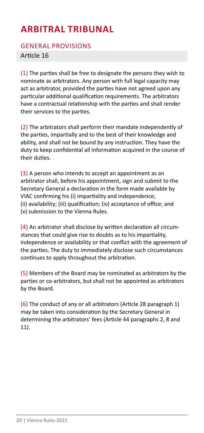# **ARBITRAL TRIBUNAL**

#### GENERAL PROVISIONS

Article 16

(1) The parties shall be free to designate the persons they wish to nominate as arbitrators. Any person with full legal capacity may act as arbitrator, provided the parties have not agreed upon any particular additional qualification requirements. The arbitrators have a contractual relationship with the parties and shall render their services to the parties.

(2) The arbitrators shall perform their mandate independently of the parties, impartially and to the best of their knowledge and ability, and shall not be bound by any instruction. They have the duty to keep confidential all information acquired in the course of their duties.

(3) A person who intends to accept an appointment as an arbitrator shall, before his appointment, sign and submit to the Secretary General a declaration in the form made available by VIAC confirming his (i) impartiality and independence; (ii) availability; (iii) qualification; (iv) acceptance of office; and (v) submission to the Vienna Rules.

(4) An arbitrator shall disclose by written declaration all circumstances that could give rise to doubts as to his impartiality, independence or availability or that conflict with the agreement of the parties. The duty to immediately disclose such circumstances continues to apply throughout the arbitration.

(5) Members of the Board may be nominated as arbitrators by the parties or co-arbitrators, but shall not be appointed as arbitrators by the Board.

(6) The conduct of any or all arbitrators (Article 28 paragraph 1) may be taken into consideration by the Secretary General in determining the arbitrators' fees (Article 44 paragraphs 2, 8 and 11).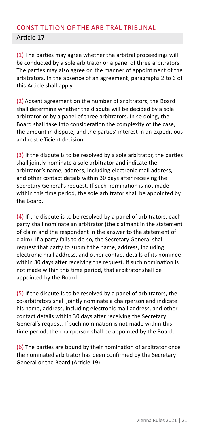#### CONSTITUTION OF THE ARBITRAL TRIBUNAL

#### Article 17

(1) The parties may agree whether the arbitral proceedings will be conducted by a sole arbitrator or a panel of three arbitrators. The parties may also agree on the manner of appointment of the arbitrators. In the absence of an agreement, paragraphs 2 to 6 of this Article shall apply.

(2) Absent agreement on the number of arbitrators, the Board shall determine whether the dispute will be decided by a sole arbitrator or by a panel of three arbitrators. In so doing, the Board shall take into consideration the complexity of the case, the amount in dispute, and the parties' interest in an expeditious and cost-efficient decision.

(3) If the dispute is to be resolved by a sole arbitrator, the parties shall jointly nominate a sole arbitrator and indicate the arbitrator's name, address, including electronic mail address, and other contact details within 30 days after receiving the Secretary General's request. If such nomination is not made within this time period, the sole arbitrator shall be appointed by the Board.

(4) If the dispute is to be resolved by a panel of arbitrators, each party shall nominate an arbitrator (the claimant in the statement of claim and the respondent in the answer to the statement of claim). If a party fails to do so, the Secretary General shall request that party to submit the name, address, including electronic mail address, and other contact details of its nominee within 30 days after receiving the request. If such nomination is not made within this time period, that arbitrator shall be appointed by the Board.

(5) If the dispute is to be resolved by a panel of arbitrators, the co-arbitrators shall jointly nominate a chairperson and indicate his name, address, including electronic mail address, and other contact details within 30 days after receiving the Secretary General's request. If such nomination is not made within this time period, the chairperson shall be appointed by the Board.

(6) The parties are bound by their nomination of arbitrator once the nominated arbitrator has been confirmed by the Secretary General or the Board (Article 19).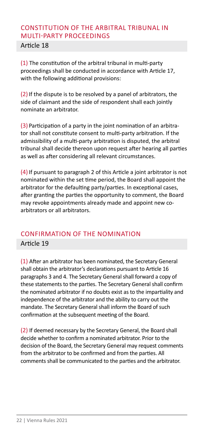#### CONSTITUTION OF THE ARBITRAL TRIBUNAL IN MULTI-PARTY PROCEEDINGS Article 18

(1) The constitution of the arbitral tribunal in multi-party proceedings shall be conducted in accordance with Article 17, with the following additional provisions:

 $(2)$  If the dispute is to be resolved by a panel of arbitrators, the side of claimant and the side of respondent shall each jointly nominate an arbitrator.

(3) Participation of a party in the joint nomination of an arbitrator shall not constitute consent to multi-party arbitration. If the admissibility of a multi-party arbitration is disputed, the arbitral tribunal shall decide thereon upon request after hearing all parties as well as after considering all relevant circumstances.

 $(4)$  If pursuant to paragraph 2 of this Article a joint arbitrator is not nominated within the set time period, the Board shall appoint the arbitrator for the defaulting party/parties. In exceptional cases, after granting the parties the opportunity to comment, the Board may revoke appointments already made and appoint new coarbitrators or all arbitrators.

#### CONFIRMATION OF THE NOMINATION Article 19

(1) After an arbitrator has been nominated, the Secretary General shall obtain the arbitrator's declarations pursuant to Article 16 paragraphs 3 and 4. The Secretary General shall forward a copy of these statements to the parties. The Secretary General shall confirm the nominated arbitrator if no doubts exist as to the impartiality and independence of the arbitrator and the ability to carry out the mandate. The Secretary General shall inform the Board of such confirmation at the subsequent meeting of the Board.

(2) If deemed necessary by the Secretary General, the Board shall decide whether to confirm a nominated arbitrator. Prior to the decision of the Board, the Secretary General may request comments from the arbitrator to be confirmed and from the parties. All comments shall be communicated to the parties and the arbitrator.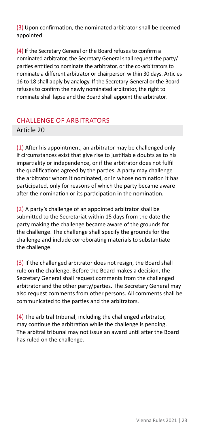(3) Upon confirmation, the nominated arbitrator shall be deemed appointed.

(4) If the Secretary General or the Board refuses to confirm a nominated arbitrator, the Secretary General shall request the party/ parties entitled to nominate the arbitrator, or the co-arbitrators to nominate a different arbitrator or chairperson within 30 days. Articles 16 to 18 shall apply by analogy. If the Secretary General or the Board refuses to confirm the newly nominated arbitrator, the right to nominate shall lapse and the Board shall appoint the arbitrator.

#### CHALLENGE OF ARRITRATORS Article 20

(1) After his appointment, an arbitrator may be challenged only if circumstances exist that give rise to justifiable doubts as to his impartiality or independence, or if the arbitrator does not fulfil the qualifications agreed by the parties. A party may challenge the arbitrator whom it nominated, or in whose nomination it has participated, only for reasons of which the party became aware after the nomination or its participation in the nomination.

(2) A party's challenge of an appointed arbitrator shall be submitted to the Secretariat within 15 days from the date the party making the challenge became aware of the grounds for the challenge. The challenge shall specify the grounds for the challenge and include corroborating materials to substantiate the challenge.

(3) If the challenged arbitrator does not resign, the Board shall rule on the challenge. Before the Board makes a decision, the Secretary General shall request comments from the challenged arbitrator and the other party/parties. The Secretary General may also request comments from other persons. All comments shall be communicated to the parties and the arbitrators.

(4) The arbitral tribunal, including the challenged arbitrator, may continue the arbitration while the challenge is pending. The arbitral tribunal may not issue an award until after the Board has ruled on the challenge.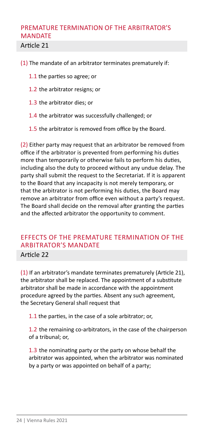#### PREMATURE TERMINATION OF THE ARBITRATOR'S **MANDATE** Article 21

- (1) The mandate of an arbitrator terminates prematurely if:
	- 1.1 the parties so agree; or
	- 1.2 the arbitrator resigns; or
	- 1.3 the arbitrator dies; or
	- 1.4 the arbitrator was successfully challenged; or
	- 1.5 the arbitrator is removed from office by the Board.

(2) Either party may request that an arbitrator be removed from office if the arbitrator is prevented from performing his duties more than temporarily or otherwise fails to perform his duties, including also the duty to proceed without any undue delay. The party shall submit the request to the Secretariat. If it is apparent to the Board that any incapacity is not merely temporary, or that the arbitrator is not performing his duties, the Board may remove an arbitrator from office even without a party's request. The Board shall decide on the removal after granting the parties and the affected arbitrator the opportunity to comment.

# EFFECTS OF THE PREMATURE TERMINATION OF THE ARBITRATOR'S MANDATE

Article 22

(1) If an arbitrator's mandate terminates prematurely (Article 21), the arbitrator shall be replaced. The appointment of a substitute arbitrator shall be made in accordance with the appointment procedure agreed by the parties. Absent any such agreement, the Secretary General shall request that

1.1 the parties, in the case of a sole arbitrator; or,

1.2 the remaining co-arbitrators, in the case of the chairperson of a tribunal; or,

1.3 the nominating party or the party on whose behalf the arbitrator was appointed, when the arbitrator was nominated by a party or was appointed on behalf of a party;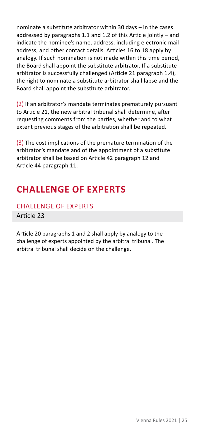nominate a substitute arbitrator within 30 days – in the cases addressed by paragraphs 1.1 and 1.2 of this Article jointly – and indicate the nominee's name, address, including electronic mail address, and other contact details. Articles 16 to 18 apply by analogy. If such nomination is not made within this time period, the Board shall appoint the substitute arbitrator. If a substitute arbitrator is successfully challenged (Article 21 paragraph 1.4), the right to nominate a substitute arbitrator shall lapse and the Board shall appoint the substitute arbitrator.

(2) If an arbitrator's mandate terminates prematurely pursuant to Article 21, the new arbitral tribunal shall determine, after requesting comments from the parties, whether and to what extent previous stages of the arbitration shall be repeated.

(3) The cost implications of the premature termination of the arbitrator's mandate and of the appointment of a substitute arbitrator shall be based on Article 42 paragraph 12 and Article 44 paragraph 11.

# **CHALLENGE OF EXPERTS**

#### CHALLENGE OF EXPERTS Article 23

Article 20 paragraphs 1 and 2 shall apply by analogy to the challenge of experts appointed by the arbitral tribunal. The arbitral tribunal shall decide on the challenge.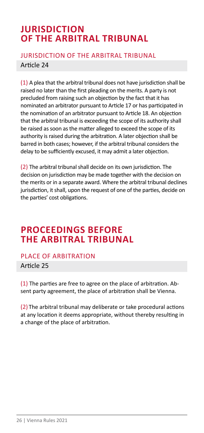# **JURISDICTION OF THE ARBITRAL TRIBUNAL**

#### JURISDICTION OF THE ARBITRAL TRIBUNAL Article 24

(1) A plea that the arbitral tribunal does not have jurisdiction shall be raised no later than the first pleading on the merits. A party is not precluded from raising such an objection by the fact that it has nominated an arbitrator pursuant to Article 17 or has participated in the nomination of an arbitrator pursuant to Article 18. An objection that the arbitral tribunal is exceeding the scope of its authority shall be raised as soon as the matter alleged to exceed the scope of its authority is raised during the arbitration. A later objection shall be barred in both cases; however, if the arbitral tribunal considers the delay to be sufficiently excused, it may admit a later objection.

(2) The arbitral tribunal shall decide on its own jurisdiction. The decision on jurisdiction may be made together with the decision on the merits or in a separate award. Where the arbitral tribunal declines jurisdiction, it shall, upon the request of one of the parties, decide on the parties' cost obligations.

# **PROCEEDINGS BEFORE THE ARBITRAL TRIBUNAL**

#### PLACE OF ARBITRATION

Article 25

(1) The parties are free to agree on the place of arbitration. Absent party agreement, the place of arbitration shall be Vienna.

(2) The arbitral tribunal may deliberate or take procedural actions at any location it deems appropriate, without thereby resulting in a change of the place of arbitration.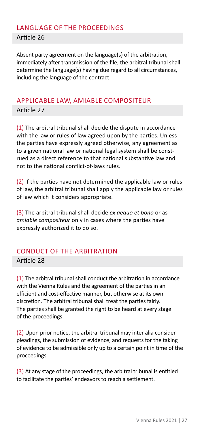#### LANGUAGE OF THE PROCEEDINGS

#### Article 26

Absent party agreement on the language(s) of the arbitration, immediately after transmission of the file, the arbitral tribunal shall determine the language(s) having due regard to all circumstances, including the language of the contract.

#### APPLICABLE LAW, AMIABLE COMPOSITEUR Article 27

(1) The arbitral tribunal shall decide the dispute in accordance with the law or rules of law agreed upon by the parties. Unless the parties have expressly agreed otherwise, any agreement as to a given national law or national legal system shall be construed as a direct reference to that national substantive law and not to the national conflict-of-laws rules.

(2) If the parties have not determined the applicable law or rules of law, the arbitral tribunal shall apply the applicable law or rules of law which it considers appropriate.

(3) The arbitral tribunal shall decide *ex aequo et bono* or as *amiable compositeur* only in cases where the parties have expressly authorized it to do so.

#### CONDUCT OF THE ARBITRATION Article 28

(1) The arbitral tribunal shall conduct the arbitration in accordance with the Vienna Rules and the agreement of the parties in an efficient and cost-effective manner, but otherwise at its own discretion. The arbitral tribunal shall treat the parties fairly. The parties shall be granted the right to be heard at every stage of the proceedings.

(2) Upon prior notice, the arbitral tribunal may inter alia consider pleadings, the submission of evidence, and requests for the taking of evidence to be admissible only up to a certain point in time of the proceedings.

(3) At any stage of the proceedings, the arbitral tribunal is entitled to facilitate the parties' endeavors to reach a settlement.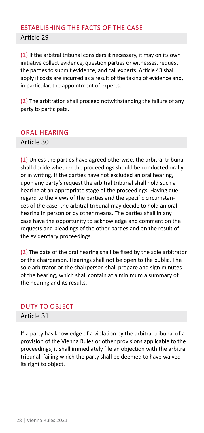#### ESTABLISHING THE FACTS OF THE CASE

#### Article 29

(1) If the arbitral tribunal considers it necessary, it may on its own initiative collect evidence, question parties or witnesses, request the parties to submit evidence, and call experts. Article 43 shall apply if costs are incurred as a result of the taking of evidence and, in particular, the appointment of experts.

(2) The arbitration shall proceed notwithstanding the failure of any party to participate.

#### ORAL HEARING

Article 30

(1) Unless the parties have agreed otherwise, the arbitral tribunal shall decide whether the proceedings should be conducted orally or in writing. If the parties have not excluded an oral hearing, upon any party's request the arbitral tribunal shall hold such a hearing at an appropriate stage of the proceedings. Having due regard to the views of the parties and the specific circumstances of the case, the arbitral tribunal may decide to hold an oral hearing in person or by other means. The parties shall in any case have the opportunity to acknowledge and comment on the requests and pleadings of the other parties and on the result of the evidentiary proceedings.

(2) The date of the oral hearing shall be fixed by the sole arbitrator or the chairperson. Hearings shall not be open to the public. The sole arbitrator or the chairperson shall prepare and sign minutes of the hearing, which shall contain at a minimum a summary of the hearing and its results.

#### DUTY TO OBJECT

Article 31

If a party has knowledge of a violation by the arbitral tribunal of a provision of the Vienna Rules or other provisions applicable to the proceedings, it shall immediately file an objection with the arbitral tribunal, failing which the party shall be deemed to have waived its right to object.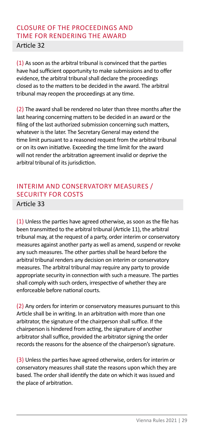#### CLOSURE OF THE PROCEEDINGS AND TIME FOR RENDERING THE AWARD Article 32

(1) As soon as the arbitral tribunal is convinced that the parties have had sufficient opportunity to make submissions and to offer evidence, the arbitral tribunal shall declare the proceedings closed as to the matters to be decided in the award. The arbitral tribunal may reopen the proceedings at any time.

(2) The award shall be rendered no later than three months after the last hearing concerning matters to be decided in an award or the filing of the last authorized submission concerning such matters, whatever is the later. The Secretary General may extend the time limit pursuant to a reasoned request from the arbitral tribunal or on its own initiative. Exceeding the time limit for the award will not render the arbitration agreement invalid or deprive the arbitral tribunal of its jurisdiction.

# INTERIM AND CONSERVATORY MEASURES / SECURITY FOR COSTS

Article 33

(1) Unless the parties have agreed otherwise, as soon as the file has been transmitted to the arbitral tribunal (Article 11), the arbitral tribunal may, at the request of a party, order interim or conservatory measures against another party as well as amend, suspend or revoke any such measures. The other parties shall be heard before the arbitral tribunal renders any decision on interim or conservatory measures. The arbitral tribunal may require any party to provide appropriate security in connection with such a measure. The parties shall comply with such orders, irrespective of whether they are enforceable before national courts.

(2) Any orders for interim or conservatory measures pursuant to this Article shall be in writing. In an arbitration with more than one arbitrator, the signature of the chairperson shall suffice. If the chairperson is hindered from acting, the signature of another arbitrator shall suffice, provided the arbitrator signing the order records the reasons for the absence of the chairperson's signature.

(3) Unless the parties have agreed otherwise, orders for interim or conservatory measures shall state the reasons upon which they are based. The order shall identify the date on which it was issued and the place of arbitration.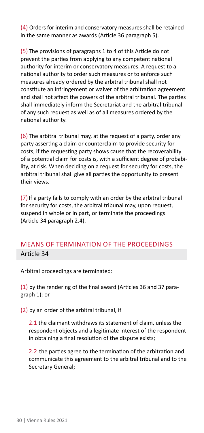(4) Orders for interim and conservatory measures shall be retained in the same manner as awards (Article 36 paragraph 5).

(5) The provisions of paragraphs 1 to 4 of this Article do not prevent the parties from applying to any competent national authority for interim or conservatory measures. A request to a national authority to order such measures or to enforce such measures already ordered by the arbitral tribunal shall not constitute an infringement or waiver of the arbitration agreement and shall not affect the powers of the arbitral tribunal. The parties shall immediately inform the Secretariat and the arbitral tribunal of any such request as well as of all measures ordered by the national authority.

(6) The arbitral tribunal may, at the request of a party, order any party asserting a claim or counterclaim to provide security for costs, if the requesting party shows cause that the recoverability of a potential claim for costs is, with a sufficient degree of probability, at risk. When deciding on a request for security for costs, the arbitral tribunal shall give all parties the opportunity to present their views.

 $(7)$  If a party fails to comply with an order by the arbitral tribunal for security for costs, the arbitral tribunal may, upon request, suspend in whole or in part, or terminate the proceedings (Article 34 paragraph 2.4).

#### MEANS OF TERMINATION OF THE PROCEEDINGS Article 34

Arbitral proceedings are terminated:

(1) by the rendering of the final award (Articles 36 and 37 paragraph 1); or

(2) by an order of the arbitral tribunal, if

2.1 the claimant withdraws its statement of claim, unless the respondent objects and a legitimate interest of the respondent in obtaining a final resolution of the dispute exists;

2.2 the parties agree to the termination of the arbitration and communicate this agreement to the arbitral tribunal and to the Secretary General;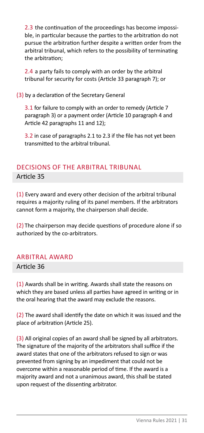2.3 the continuation of the proceedings has become impossible, in particular because the parties to the arbitration do not pursue the arbitration further despite a written order from the arbitral tribunal, which refers to the possibility of terminating the arbitration;

2.4 a party fails to comply with an order by the arbitral tribunal for security for costs (Article 33 paragraph 7); or

(3) by a declaration of the Secretary General

3.1 for failure to comply with an order to remedy (Article 7 paragraph 3) or a payment order (Article 10 paragraph 4 and Article 42 paragraphs 11 and 12);

3.2 in case of paragraphs 2.1 to 2.3 if the file has not yet been transmitted to the arbitral tribunal.

#### DECISIONS OF THE ARBITRAL TRIBUNAL

Article 35

(1) Every award and every other decision of the arbitral tribunal requires a majority ruling of its panel members. If the arbitrators cannot form a majority, the chairperson shall decide.

(2) The chairperson may decide questions of procedure alone if so authorized by the co-arbitrators.

#### ARBITRAL AWARD

Article 36

(1) Awards shall be in writing. Awards shall state the reasons on which they are based unless all parties have agreed in writing or in the oral hearing that the award may exclude the reasons.

(2) The award shall identify the date on which it was issued and the place of arbitration (Article 25).

(3) All original copies of an award shall be signed by all arbitrators. The signature of the majority of the arbitrators shall suffice if the award states that one of the arbitrators refused to sign or was prevented from signing by an impediment that could not be overcome within a reasonable period of time. If the award is a majority award and not a unanimous award, this shall be stated upon request of the dissenting arbitrator.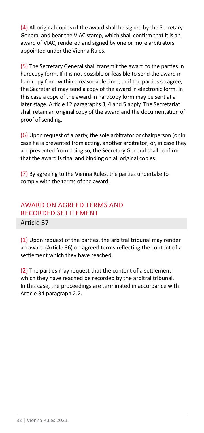(4) All original copies of the award shall be signed by the Secretary General and bear the VIAC stamp, which shall confirm that it is an award of VIAC, rendered and signed by one or more arbitrators appointed under the Vienna Rules.

(5) The Secretary General shall transmit the award to the parties in hardcopy form. If it is not possible or feasible to send the award in hardcopy form within a reasonable time, or if the parties so agree, the Secretariat may send a copy of the award in electronic form. In this case a copy of the award in hardcopy form may be sent at a later stage. Article 12 paragraphs 3, 4 and 5 apply. The Secretariat shall retain an original copy of the award and the documentation of proof of sending.

(6) Upon request of a party, the sole arbitrator or chairperson (or in case he is prevented from acting, another arbitrator) or, in case they are prevented from doing so, the Secretary General shall confirm that the award is final and binding on all original copies.

(7) By agreeing to the Vienna Rules, the parties undertake to comply with the terms of the award.

#### AWARD ON AGREED TERMS AND RECORDED SETTLEMENT

Article 37

(1) Upon request of the parties, the arbitral tribunal may render an award (Article 36) on agreed terms reflecting the content of a settlement which they have reached.

(2) The parties may request that the content of a settlement which they have reached be recorded by the arbitral tribunal. In this case, the proceedings are terminated in accordance with Article 34 paragraph 2.2.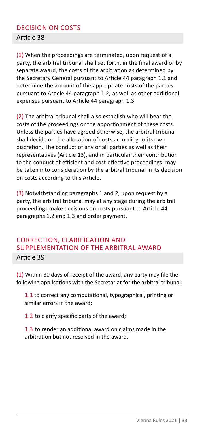#### DECISION ON COSTS

#### Article 38

(1) When the proceedings are terminated, upon request of a party, the arbitral tribunal shall set forth, in the final award or by separate award, the costs of the arbitration as determined by the Secretary General pursuant to Article 44 paragraph 1.1 and determine the amount of the appropriate costs of the parties pursuant to Article 44 paragraph 1.2, as well as other additional expenses pursuant to Article 44 paragraph 1.3.

(2) The arbitral tribunal shall also establish who will bear the costs of the proceedings or the apportionment of these costs. Unless the parties have agreed otherwise, the arbitral tribunal shall decide on the allocation of costs according to its own discretion. The conduct of any or all parties as well as their representatives (Article 13), and in particular their contribution to the conduct of efficient and cost-effective proceedings, may be taken into consideration by the arbitral tribunal in its decision on costs according to this Article.

(3) Notwithstanding paragraphs 1 and 2, upon request by a party, the arbitral tribunal may at any stage during the arbitral proceedings make decisions on costs pursuant to Article 44 paragraphs 1.2 and 1.3 and order payment.

#### CORRECTION, CLARIFICATION AND SUPPLEMENTATION OF THE ARBITRAL AWARD Article 39

(1) Within 30 days of receipt of the award, any party may file the following applications with the Secretariat for the arbitral tribunal:

1.1 to correct any computational, typographical, printing or similar errors in the award;

1.2 to clarify specific parts of the award;

1.3 to render an additional award on claims made in the arbitration but not resolved in the award.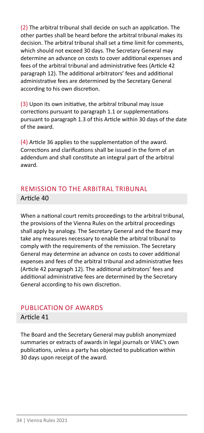(2) The arbitral tribunal shall decide on such an application. The other parties shall be heard before the arbitral tribunal makes its decision. The arbitral tribunal shall set a time limit for comments, which should not exceed 30 days. The Secretary General may determine an advance on costs to cover additional expenses and fees of the arbitral tribunal and administrative fees (Article 42 paragraph 12). The additional arbitrators' fees and additional administrative fees are determined by the Secretary General according to his own discretion.

(3) Upon its own initiative, the arbitral tribunal may issue corrections pursuant to paragraph 1.1 or supplementations pursuant to paragraph 1.3 of this Article within 30 days of the date of the award.

(4) Article 36 applies to the supplementation of the award. Corrections and clarifications shall be issued in the form of an addendum and shall constitute an integral part of the arbitral award.

#### REMISSION TO THE ARBITRAL TRIBUNAL Article 40

When a national court remits proceedings to the arbitral tribunal, the provisions of the Vienna Rules on the arbitral proceedings shall apply by analogy. The Secretary General and the Board may take any measures necessary to enable the arbitral tribunal to comply with the requirements of the remission. The Secretary General may determine an advance on costs to cover additional expenses and fees of the arbitral tribunal and administrative fees (Article 42 paragraph 12). The additional arbitrators' fees and additional administrative fees are determined by the Secretary General according to his own discretion.

#### PUBLICATION OF AWARDS

#### Article 41

The Board and the Secretary General may publish anonymized summaries or extracts of awards in legal journals or VIAC's own publications, unless a party has objected to publication within 30 days upon receipt of the award.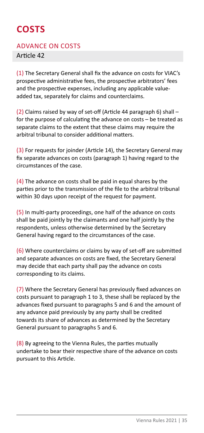# **COSTS**

#### ADVANCE ON COSTS

Article 42

(1) The Secretary General shall fix the advance on costs for VIAC's prospective administrative fees, the prospective arbitrators' fees and the prospective expenses, including any applicable valueadded tax, separately for claims and counterclaims.

(2) Claims raised by way of set-off (Article 44 paragraph 6) shall – for the purpose of calculating the advance on costs – be treated as separate claims to the extent that these claims may require the arbitral tribunal to consider additional matters.

(3) For requests for joinder (Article 14), the Secretary General may fix separate advances on costs (paragraph 1) having regard to the circumstances of the case.

(4) The advance on costs shall be paid in equal shares by the parties prior to the transmission of the file to the arbitral tribunal within 30 days upon receipt of the request for payment.

(5) In multi-party proceedings, one half of the advance on costs shall be paid jointly by the claimants and one half jointly by the respondents, unless otherwise determined by the Secretary General having regard to the circumstances of the case.

(6) Where counterclaims or claims by way of set-off are submitted and separate advances on costs are fixed, the Secretary General may decide that each party shall pay the advance on costs corresponding to its claims.

(7) Where the Secretary General has previously fixed advances on costs pursuant to paragraph 1 to 3, these shall be replaced by the advances fixed pursuant to paragraphs 5 and 6 and the amount of any advance paid previously by any party shall be credited towards its share of advances as determined by the Secretary General pursuant to paragraphs 5 and 6.

(8) By agreeing to the Vienna Rules, the parties mutually undertake to bear their respective share of the advance on costs pursuant to this Article.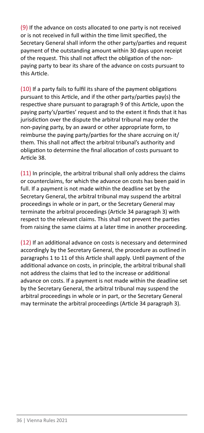(9) If the advance on costs allocated to one party is not received or is not received in full within the time limit specified, the Secretary General shall inform the other party/parties and request payment of the outstanding amount within 30 days upon receipt of the request. This shall not affect the obligation of the nonpaying party to bear its share of the advance on costs pursuant to this Article.

(10) If a party fails to fulfil its share of the payment obligations pursuant to this Article, and if the other party/parties pay(s) the respective share pursuant to paragraph 9 of this Article, upon the paying party's/parties' request and to the extent it finds that it has jurisdiction over the dispute the arbitral tribunal may order the non-paying party, by an award or other appropriate form, to reimburse the paying party/parties for the share accruing on it/ them. This shall not affect the arbitral tribunal's authority and obligation to determine the final allocation of costs pursuant to Article 38.

(11) In principle, the arbitral tribunal shall only address the claims or counterclaims, for which the advance on costs has been paid in full. If a payment is not made within the deadline set by the Secretary General, the arbitral tribunal may suspend the arbitral proceedings in whole or in part, or the Secretary General may terminate the arbitral proceedings (Article 34 paragraph 3) with respect to the relevant claims. This shall not prevent the parties from raising the same claims at a later time in another proceeding.

(12) If an additional advance on costs is necessary and determined accordingly by the Secretary General, the procedure as outlined in paragraphs 1 to 11 of this Article shall apply. Until payment of the additional advance on costs, in principle, the arbitral tribunal shall not address the claims that led to the increase or additional advance on costs. If a payment is not made within the deadline set by the Secretary General, the arbitral tribunal may suspend the arbitral proceedings in whole or in part, or the Secretary General may terminate the arbitral proceedings (Article 34 paragraph 3).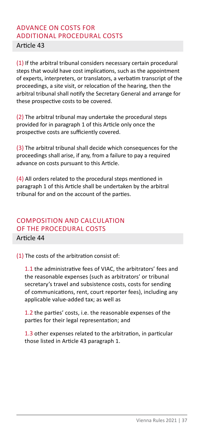#### ADVANCE ON COSTS FOR ADDITIONAL PROCEDURAL COSTS Article 43

(1) If the arbitral tribunal considers necessary certain procedural steps that would have cost implications, such as the appointment of experts, interpreters, or translators, a verbatim transcript of the proceedings, a site visit, or relocation of the hearing, then the arbitral tribunal shall notify the Secretary General and arrange for these prospective costs to be covered.

(2) The arbitral tribunal may undertake the procedural steps provided for in paragraph 1 of this Article only once the prospective costs are sufficiently covered.

(3) The arbitral tribunal shall decide which consequences for the proceedings shall arise, if any, from a failure to pay a required advance on costs pursuant to this Article.

(4) All orders related to the procedural steps mentioned in paragraph 1 of this Article shall be undertaken by the arbitral tribunal for and on the account of the parties.

#### COMPOSITION AND CALCULATION OF THE PROCEDURAL COSTS Article 44

(1) The costs of the arbitration consist of:

1.1 the administrative fees of VIAC, the arbitrators' fees and the reasonable expenses (such as arbitrators' or tribunal secretary's travel and subsistence costs, costs for sending of communications, rent, court reporter fees), including any applicable value-added tax; as well as

1.2 the parties' costs, i.e. the reasonable expenses of the parties for their legal representation; and

1.3 other expenses related to the arbitration, in particular those listed in Article 43 paragraph 1.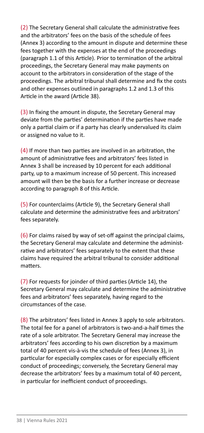(2) The Secretary General shall calculate the administrative fees and the arbitrators' fees on the basis of the schedule of fees (Annex 3) according to the amount in dispute and determine these fees together with the expenses at the end of the proceedings (paragraph 1.1 of this Article). Prior to termination of the arbitral proceedings, the Secretary General may make payments on account to the arbitrators in consideration of the stage of the proceedings. The arbitral tribunal shall determine and fix the costs and other expenses outlined in paragraphs 1.2 and 1.3 of this Article in the award (Article 38).

(3) In fixing the amount in dispute, the Secretary General may deviate from the parties' determination if the parties have made only a partial claim or if a party has clearly undervalued its claim or assigned no value to it.

(4) If more than two parties are involved in an arbitration, the amount of administrative fees and arbitrators' fees listed in Annex 3 shall be increased by 10 percent for each additional party, up to a maximum increase of 50 percent. This increased amount will then be the basis for a further increase or decrease according to paragraph 8 of this Article.

(5) For counterclaims (Article 9), the Secretary General shall calculate and determine the administrative fees and arbitrators' fees separately.

(6) For claims raised by way of set-off against the principal claims, the Secretary General may calculate and determine the administrative and arbitrators' fees separately to the extent that these claims have required the arbitral tribunal to consider additional matters.

(7) For requests for joinder of third parties (Article 14), the Secretary General may calculate and determine the administrative fees and arbitrators' fees separately, having regard to the circumstances of the case.

(8) The arbitrators' fees listed in Annex 3 apply to sole arbitrators. The total fee for a panel of arbitrators is two-and-a-half times the rate of a sole arbitrator. The Secretary General may increase the arbitrators' fees according to his own discretion by a maximum total of 40 percent vis-à-vis the schedule of fees (Annex 3), in particular for especially complex cases or for especially efficient conduct of proceedings; conversely, the Secretary General may decrease the arbitrators' fees by a maximum total of 40 percent, in particular for inefficient conduct of proceedings.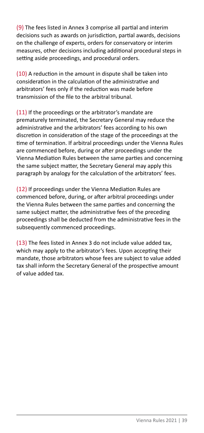(9) The fees listed in Annex 3 comprise all partial and interim decisions such as awards on jurisdiction, partial awards, decisions on the challenge of experts, orders for conservatory or interim measures, other decisions including additional procedural steps in setting aside proceedings, and procedural orders.

(10) A reduction in the amount in dispute shall be taken into consideration in the calculation of the administrative and arbitrators' fees only if the reduction was made before transmission of the file to the arbitral tribunal.

(11) If the proceedings or the arbitrator's mandate are prematurely terminated, the Secretary General may reduce the administrative and the arbitrators' fees according to his own discretion in consideration of the stage of the proceedings at the time of termination. If arbitral proceedings under the Vienna Rules are commenced before, during or after proceedings under the Vienna Mediation Rules between the same parties and concerning the same subject matter, the Secretary General may apply this paragraph by analogy for the calculation of the arbitrators' fees.

(12) If proceedings under the Vienna Mediation Rules are commenced before, during, or after arbitral proceedings under the Vienna Rules between the same parties and concerning the same subject matter, the administrative fees of the preceding proceedings shall be deducted from the administrative fees in the subsequently commenced proceedings.

(13) The fees listed in Annex 3 do not include value added tax, which may apply to the arbitrator's fees. Upon accepting their mandate, those arbitrators whose fees are subject to value added tax shall inform the Secretary General of the prospective amount of value added tax.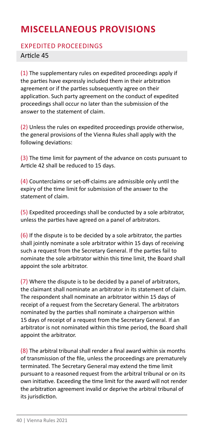## **MISCELLANEOUS PROVISIONS**

#### EXPEDITED PROCEEDINGS

Article 45

(1) The supplementary rules on expedited proceedings apply if the parties have expressly included them in their arbitration agreement or if the parties subsequently agree on their application. Such party agreement on the conduct of expedited proceedings shall occur no later than the submission of the answer to the statement of claim.

(2) Unless the rules on expedited proceedings provide otherwise, the general provisions of the Vienna Rules shall apply with the following deviations:

(3) The time limit for payment of the advance on costs pursuant to Article 42 shall be reduced to 15 days.

(4) Counterclaims or set-off-claims are admissible only until the expiry of the time limit for submission of the answer to the statement of claim.

(5) Expedited proceedings shall be conducted by a sole arbitrator, unless the parties have agreed on a panel of arbitrators.

(6) If the dispute is to be decided by a sole arbitrator, the parties shall jointly nominate a sole arbitrator within 15 days of receiving such a request from the Secretary General. If the parties fail to nominate the sole arbitrator within this time limit, the Board shall appoint the sole arbitrator.

(7) Where the dispute is to be decided by a panel of arbitrators, the claimant shall nominate an arbitrator in its statement of claim. The respondent shall nominate an arbitrator within 15 days of receipt of a request from the Secretary General. The arbitrators nominated by the parties shall nominate a chairperson within 15 days of receipt of a request from the Secretary General. If an arbitrator is not nominated within this time period, the Board shall appoint the arbitrator.

(8) The arbitral tribunal shall render a final award within six months of transmission of the file, unless the proceedings are prematurely terminated. The Secretary General may extend the time limit pursuant to a reasoned request from the arbitral tribunal or on its own initiative. Exceeding the time limit for the award will not render the arbitration agreement invalid or deprive the arbitral tribunal of its jurisdiction.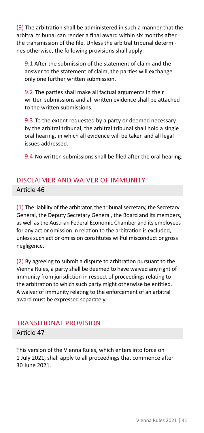(9) The arbitration shall be administered in such a manner that the arbitral tribunal can render a final award within six months after the transmission of the file. Unless the arbitral tribunal determines otherwise, the following provisions shall apply:

9.1 After the submission of the statement of claim and the answer to the statement of claim, the parties will exchange only one further written submission.

9.2 The parties shall make all factual arguments in their written submissions and all written evidence shall be attached to the written submissions.

9.3 To the extent requested by a party or deemed necessary by the arbitral tribunal, the arbitral tribunal shall hold a single oral hearing, in which all evidence will be taken and all legal issues addressed.

9.4 No written submissions shall be filed after the oral hearing.

#### DISCLAIMER AND WAIVER OF IMMUNITY Article 46

(1) The liability of the arbitrator, the tribunal secretary, the Secretary General, the Deputy Secretary General, the Board and its members, as well as the Austrian Federal Economic Chamber and its employees for any act or omission in relation to the arbitration is excluded, unless such act or omission constitutes willful misconduct or gross negligence.

(2) By agreeing to submit a dispute to arbitration pursuant to the Vienna Rules, a party shall be deemed to have waived any right of immunity from jurisdiction in respect of proceedings relating to the arbitration to which such party might otherwise be entitled. A waiver of immunity relating to the enforcement of an arbitral award must be expressed separately.

#### TRANSITIONAL PROVISION Article 47

This version of the Vienna Rules, which enters into force on 1 July 2021, shall apply to all proceedings that commence after 30 June 2021.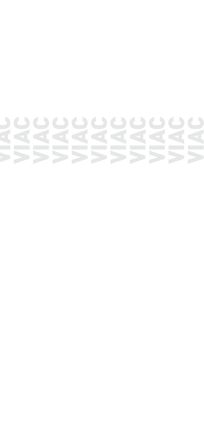# SSSSSSSSSSSSSS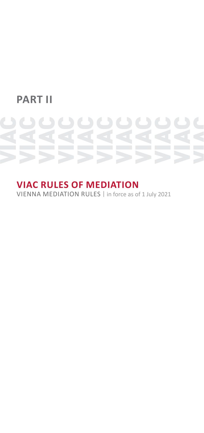## **PART II**

## SSSSSSSSSSS

## **VIAC Rules of Mediation**

VIENNA MEDIATION RULES | in force as of 1 July 2021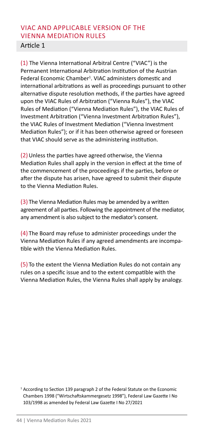#### VIAC AND APPLICABLE VERSION OF THE VIENNA MEDIATION RULES Article 1

(1) The Vienna International Arbitral Centre ("VIAC") is the Permanent International Arbitration Institution of the Austrian Federal Economic Chamber<sup>1</sup>. VIAC administers domestic and international arbitrations as well as proceedings pursuant to other alternative dispute resolution methods, if the parties have agreed upon the VIAC Rules of Arbitration ("Vienna Rules"), the VIAC Rules of Mediation ("Vienna Mediation Rules"), the VIAC Rules of Investment Arbitration ("Vienna Investment Arbitration Rules"), the VIAC Rules of Investment Mediation ("Vienna Investment Mediation Rules"); or if it has been otherwise agreed or foreseen that VIAC should serve as the administering institution.

(2)Unless the parties have agreed otherwise, the Vienna Mediation Rules shall apply in the version in effect at the time of the commencement of the proceedings if the parties, before or after the dispute has arisen, have agreed to submit their dispute to the Vienna Mediation Rules.

(3) The Vienna Mediation Rules may be amended by a written agreement of all parties. Following the appointment of the mediator, any amendment is also subject to the mediator's consent.

(4) The Board may refuse to administer proceedings under the Vienna Mediation Rules if any agreed amendments are incompatible with the Vienna Mediation Rules.

(5) To the extent the Vienna Mediation Rules do not contain any rules on a specific issue and to the extent compatible with the Vienna Mediation Rules, the Vienna Rules shall apply by analogy.

<sup>1</sup> According to Section 139 paragraph 2 of the Federal Statute on the Economic Chambers 1998 ("Wirtschaftskammergesetz 1998"), Federal Law Gazette I No 103/1998 as amended by Federal Law Gazette I No 27/2021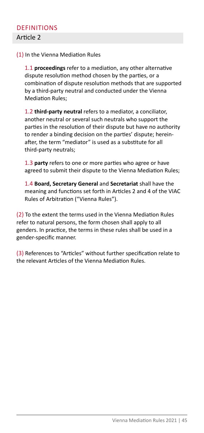#### **DEFINITIONS**

#### Article 2

#### (1) In the Vienna Mediation Rules

1.1 **proceedings** refer to a mediation, any other alternative dispute resolution method chosen by the parties, or a combination of dispute resolution methods that are supported by a third-party neutral and conducted under the Vienna Mediation Rules;

1.2 **third-party neutral** refers to a mediator, a conciliator, another neutral or several such neutrals who support the parties in the resolution of their dispute but have no authority to render a binding decision on the parties' dispute; hereinafter, the term "mediator" is used as a substitute for all third-party neutrals;

1.3 **party** refers to one or more parties who agree or have agreed to submit their dispute to the Vienna Mediation Rules;

1.4 **Board, Secretary General** and **Secretariat** shall have the meaning and functions set forth in Articles 2 and 4 of the VIAC Rules of Arbitration ("Vienna Rules").

(2) To the extent the terms used in the Vienna Mediation Rules refer to natural persons, the form chosen shall apply to all genders. In practice, the terms in these rules shall be used in a gender-specific manner.

(3) References to "Articles" without further specification relate to the relevant Articles of the Vienna Mediation Rules.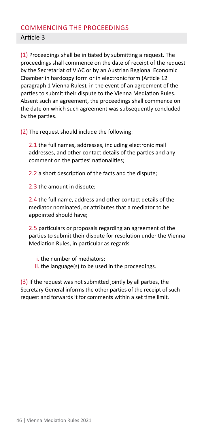#### COMMENCING THE PROCEEDINGS

#### Article 3

(1) Proceedings shall be initiated by submitting a request. The proceedings shall commence on the date of receipt of the request by the Secretariat of VIAC or by an Austrian Regional Economic Chamber in hardcopy form or in electronic form (Article 12 paragraph 1 Vienna Rules), in the event of an agreement of the parties to submit their dispute to the Vienna Mediation Rules. Absent such an agreement, the proceedings shall commence on the date on which such agreement was subsequently concluded by the parties.

(2) The request should include the following:

2.1 the full names, addresses, including electronic mail addresses, and other contact details of the parties and any comment on the parties' nationalities;

2.2 a short description of the facts and the dispute;

2.3 the amount in dispute;

2.4 the full name, address and other contact details of the mediator nominated, or attributes that a mediator to be appointed should have;

2.5 particulars or proposals regarding an agreement of the parties to submit their dispute for resolution under the Vienna Mediation Rules, in particular as regards

- i. the number of mediators;
- ii. the language(s) to be used in the proceedings.

(3) If the request was not submitted jointly by all parties, the Secretary General informs the other parties of the receipt of such request and forwards it for comments within a set time limit.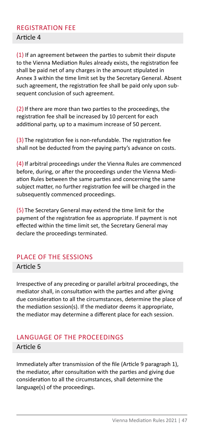#### REGISTRATION FEE

#### Article 4

(1) If an agreement between the parties to submit their dispute to the Vienna Mediation Rules already exists, the registration fee shall be paid net of any charges in the amount stipulated in Annex 3 within the time limit set by the Secretary General. Absent such agreement, the registration fee shall be paid only upon subsequent conclusion of such agreement.

(2) If there are more than two parties to the proceedings, the registration fee shall be increased by 10 percent for each additional party, up to a maximum increase of 50 percent.

(3) The registration fee is non-refundable. The registration fee shall not be deducted from the paying party's advance on costs.

 $(4)$  If arbitral proceedings under the Vienna Rules are commenced before, during, or after the proceedings under the Vienna Mediation Rules between the same parties and concerning the same subject matter, no further registration fee will be charged in the subsequently commenced proceedings.

(5) The Secretary General may extend the time limit for the payment of the registration fee as appropriate. If payment is not effected within the time limit set, the Secretary General may declare the proceedings terminated.

## PLACE OF THE SESSIONS

Article 5

Irrespective of any preceding or parallel arbitral proceedings, the mediator shall, in consultation with the parties and after giving due consideration to all the circumstances, determine the place of the mediation session(s). If the mediator deems it appropriate, the mediator may determine a different place for each session.

#### LANGUAGE OF THE PROCEEDINGS

Article 6

Immediately after transmission of the file (Article 9 paragraph 1), the mediator, after consultation with the parties and giving due consideration to all the circumstances, shall determine the language(s) of the proceedings.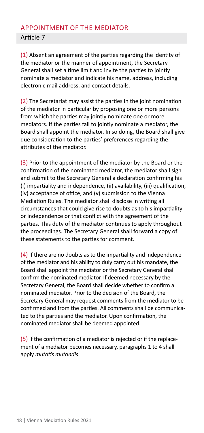#### APPOINTMENT OF THE MEDIATOR

#### Article 7

(1) Absent an agreement of the parties regarding the identity of the mediator or the manner of appointment, the Secretary General shall set a time limit and invite the parties to jointly nominate a mediator and indicate his name, address, including electronic mail address, and contact details.

(2) The Secretariat may assist the parties in the joint nomination of the mediator in particular by proposing one or more persons from which the parties may jointly nominate one or more mediators. If the parties fail to jointly nominate a mediator, the Board shall appoint the mediator. In so doing, the Board shall give due consideration to the parties' preferences regarding the attributes of the mediator.

(3) Prior to the appointment of the mediator by the Board or the confirmation of the nominated mediator, the mediator shall sign and submit to the Secretary General a declaration confirming his (i) impartiality and independence, (ii) availability, (iii) qualification, (iv) acceptance of office, and (v) submission to the Vienna Mediation Rules. The mediator shall disclose in writing all circumstances that could give rise to doubts as to his impartiality or independence or that conflict with the agreement of the parties. This duty of the mediator continues to apply throughout the proceedings. The Secretary General shall forward a copy of these statements to the parties for comment.

(4) If there are no doubts as to the impartiality and independence of the mediator and his ability to duly carry out his mandate, the Board shall appoint the mediator or the Secretary General shall confirm the nominated mediator. If deemed necessary by the Secretary General, the Board shall decide whether to confirm a nominated mediator. Prior to the decision of the Board, the Secretary General may request comments from the mediator to be confirmed and from the parties. All comments shall be communicated to the parties and the mediator. Upon confirmation, the nominated mediator shall be deemed appointed.

(5) If the confirmation of a mediator is rejected or if the replacement of a mediator becomes necessary, paragraphs 1 to 4 shall apply *mutatis mutandis*.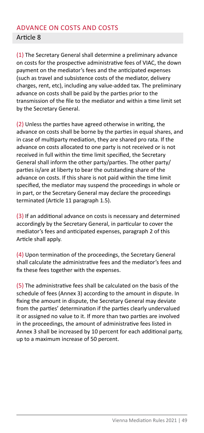#### ADVANCE ON COSTS AND COSTS

#### Article 8

(1) The Secretary General shall determine a preliminary advance on costs for the prospective administrative fees of VIAC, the down payment on the mediator's fees and the anticipated expenses (such as travel and subsistence costs of the mediator, delivery charges, rent, etc), including any value-added tax. The preliminary advance on costs shall be paid by the parties prior to the transmission of the file to the mediator and within a time limit set by the Secretary General.

(2) Unless the parties have agreed otherwise in writing, the advance on costs shall be borne by the parties in equal shares, and in case of multiparty mediation, they are shared pro rata. If the advance on costs allocated to one party is not received or is not received in full within the time limit specified, the Secretary General shall inform the other party/parties. The other party/ parties is/are at liberty to bear the outstanding share of the advance on costs. If this share is not paid within the time limit specified, the mediator may suspend the proceedings in whole or in part, or the Secretary General may declare the proceedings terminated (Article 11 paragraph 1.5).

(3) If an additional advance on costs is necessary and determined accordingly by the Secretary General, in particular to cover the mediator's fees and anticipated expenses, paragraph 2 of this Article shall apply.

(4) Upon termination of the proceedings, the Secretary General shall calculate the administrative fees and the mediator's fees and fix these fees together with the expenses.

(5) The administrative fees shall be calculated on the basis of the schedule of fees (Annex 3) according to the amount in dispute. In fixing the amount in dispute, the Secretary General may deviate from the parties' determination if the parties clearly undervalued it or assigned no value to it. If more than two parties are involved in the proceedings, the amount of administrative fees listed in Annex 3 shall be increased by 10 percent for each additional party, up to a maximum increase of 50 percent.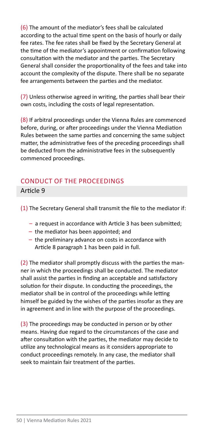(6) The amount of the mediator's fees shall be calculated according to the actual time spent on the basis of hourly or daily fee rates. The fee rates shall be fixed by the Secretary General at the time of the mediator's appointment or confirmation following consultation with the mediator and the parties. The Secretary General shall consider the proportionality of the fees and take into account the complexity of the dispute. There shall be no separate fee arrangements between the parties and the mediator.

(7) Unless otherwise agreed in writing, the parties shall bear their own costs, including the costs of legal representation.

(8) If arbitral proceedings under the Vienna Rules are commenced before, during, or after proceedings under the Vienna Mediation Rules between the same parties and concerning the same subject matter, the administrative fees of the preceding proceedings shall be deducted from the administrative fees in the subsequently commenced proceedings.

#### CONDUCT OF THE PROCEEDINGS Article 9

(1) The Secretary General shall transmit the file to the mediator if:

- a request in accordance with Article 3 has been submitted;
- the mediator has been appointed; and
- the preliminary advance on costs in accordance with Article 8 paragraph 1 has been paid in full.

(2) The mediator shall promptly discuss with the parties the manner in which the proceedings shall be conducted. The mediator shall assist the parties in finding an acceptable and satisfactory solution for their dispute. In conducting the proceedings, the mediator shall be in control of the proceedings while letting himself be guided by the wishes of the parties insofar as they are in agreement and in line with the purpose of the proceedings.

(3) The proceedings may be conducted in person or by other means. Having due regard to the circumstances of the case and after consultation with the parties, the mediator may decide to utilize any technological means as it considers appropriate to conduct proceedings remotely. In any case, the mediator shall seek to maintain fair treatment of the parties.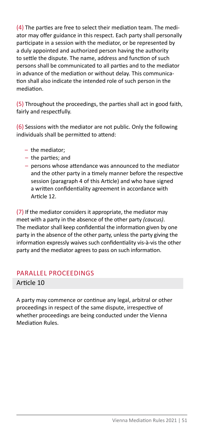(4) The parties are free to select their mediation team. The mediator may offer guidance in this respect. Each party shall personally participate in a session with the mediator, or be represented by a duly appointed and authorized person having the authority to settle the dispute. The name, address and function of such persons shall be communicated to all parties and to the mediator in advance of the mediation or without delay. This communication shall also indicate the intended role of such person in the mediation.

(5) Throughout the proceedings, the parties shall act in good faith, fairly and respectfully.

(6) Sessions with the mediator are not public. Only the following individuals shall be permitted to attend:

- the mediator;
- the parties; and
- persons whose attendance was announced to the mediator and the other party in a timely manner before the respective session (paragraph 4 of this Article) and who have signed a written confidentiality agreement in accordance with Article 12.

(7) If the mediator considers it appropriate, the mediator may meet with a party in the absence of the other party *(caucus)*. The mediator shall keep confidential the information given by one party in the absence of the other party, unless the party giving the information expressly waives such confidentiality vis-à-vis the other party and the mediator agrees to pass on such information.

#### PARALLEL PROCEEDINGS

Article 10

A party may commence or continue any legal, arbitral or other proceedings in respect of the same dispute, irrespective of whether proceedings are being conducted under the Vienna Mediation Rules.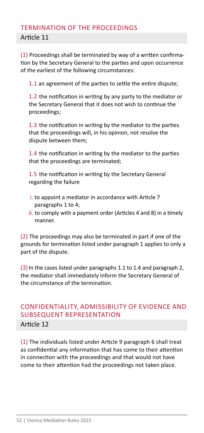#### TERMINATION OF THE PROCEEDINGS

#### Article 11

(1) Proceedings shall be terminated by way of a written confirmation by the Secretary General to the parties and upon occurrence of the earliest of the following circumstances:

1.1 an agreement of the parties to settle the entire dispute;

1.2 the notification in writing by any party to the mediator or the Secretary General that it does not wish to continue the proceedings;

1.3 the notification in writing by the mediator to the parties that the proceedings will, in his opinion, not resolve the dispute between them;

1.4 the notification in writing by the mediator to the parties that the proceedings are terminated;

1.5 the notification in writing by the Secretary General regarding the failure

- i. to appoint a mediator in accordance with Article 7 paragraphs 1 to 4;
- ii. to comply with a payment order (Articles 4 and 8) in a timely manner.

(2) The proceedings may also be terminated in part if one of the grounds for termination listed under paragraph 1 applies to only a part of the dispute.

(3)In the cases listed under paragraphs 1.1 to 1.4 and paragraph 2, the mediator shall immediately inform the Secretary General of the circumstance of the termination.

## CONFIDENTIALITY, ADMISSIBILITY OF EVIDENCE AND SUBSEQUENT REPRESENTATION

Article 12

(1) The individuals listed under Article 9 paragraph 6 shall treat as confidential any information that has come to their attention in connection with the proceedings and that would not have come to their attention had the proceedings not taken place.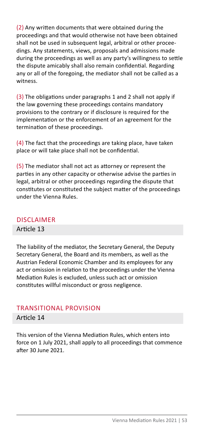(2) Any written documents that were obtained during the proceedings and that would otherwise not have been obtained shall not be used in subsequent legal, arbitral or other proceedings. Any statements, views, proposals and admissions made during the proceedings as well as any party's willingness to settle the dispute amicably shall also remain confidential. Regarding any or all of the foregoing, the mediator shall not be called as a witness.

(3) The obligations under paragraphs 1 and 2 shall not apply if the law governing these proceedings contains mandatory provisions to the contrary or if disclosure is required for the implementation or the enforcement of an agreement for the termination of these proceedings.

(4) The fact that the proceedings are taking place, have taken place or will take place shall not be confidential.

(5) The mediator shall not act as attorney or represent the parties in any other capacity or otherwise advise the parties in legal, arbitral or other proceedings regarding the dispute that constitutes or constituted the subject matter of the proceedings under the Vienna Rules.

#### DISCLAIMER

Article 13

The liability of the mediator, the Secretary General, the Deputy Secretary General, the Board and its members, as well as the Austrian Federal Economic Chamber and its employees for any act or omission in relation to the proceedings under the Vienna Mediation Rules is excluded, unless such act or omission constitutes willful misconduct or gross negligence.

#### TRANSITIONAL PROVISION

Article 14

This version of the Vienna Mediation Rules, which enters into force on 1 July 2021, shall apply to all proceedings that commence after 30 June 2021.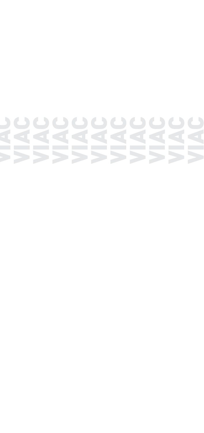# SSSSSSSSSSSSSS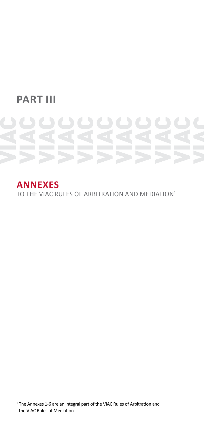## **PART III**

## **COODDDD**  $\leq$  $\leq$ 555555555

## **ANNEXES**

TO THE VIAC RULES OF ARBITRATION AND MEDIATION<sup>1</sup>

<sup>1</sup> The Annexes 1-6 are an integral part of the VIAC Rules of Arbitration and the VIAC Rules of Mediation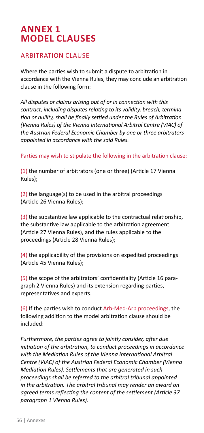## **ANNEX 1 MODEL CLAUSES**

#### ARBITRATION CLAUSE

Where the parties wish to submit a dispute to arbitration in accordance with the Vienna Rules, they may conclude an arbitration clause in the following form:

*All disputes or claims arising out of or in connection with this contract, including disputes relating to its validity, breach, termination or nullity, shall be finally settled under the Rules of Arbitration (Vienna Rules) of the Vienna International Arbitral Centre (VIAC) of the Austrian Federal Economic Chamber by one or three arbitrators appointed in accordance with the said Rules.*

#### Parties may wish to stipulate the following in the arbitration clause:

(1) the number of arbitrators (one or three) (Article 17 Vienna Rules);

(2) the language(s) to be used in the arbitral proceedings (Article 26 Vienna Rules);

(3) the substantive law applicable to the contractual relationship, the substantive law applicable to the arbitration agreement (Article 27 Vienna Rules), and the rules applicable to the proceedings (Article 28 Vienna Rules);

(4) the applicability of the provisions on expedited proceedings (Article 45 Vienna Rules);

(5) the scope of the arbitrators' confidentiality (Article 16 paragraph 2 Vienna Rules) and its extension regarding parties, representatives and experts.

(6) If the parties wish to conduct Arb-Med-Arb proceedings, the following addition to the model arbitration clause should be included:

*Furthermore, the parties agree to jointly consider, after due initiation of the arbitration, to conduct proceedings in accordance with the Mediation Rules of the Vienna International Arbitral Centre (VIAC) of the Austrian Federal Economic Chamber (Vienna Mediation Rules). Settlements that are generated in such proceedings shall be referred to the arbitral tribunal appointed in the arbitration. The arbitral tribunal may render an award on agreed terms reflecting the content of the settlement (Article 37 paragraph 1 Vienna Rules).*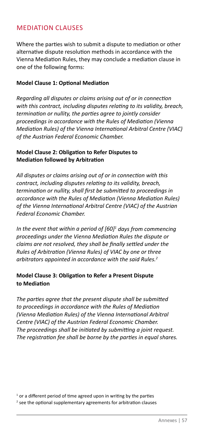#### MEDIATION CLAUSES

Where the parties wish to submit a dispute to mediation or other alternative dispute resolution methods in accordance with the Vienna Mediation Rules, they may conclude a mediation clause in one of the following forms:

#### **Model Clause 1: Optional Mediation**

*Regarding all disputes or claims arising out of or in connection with this contract, including disputes relating to its validity, breach, termination or nullity, the parties agree to jointly consider proceedings in accordance with the Rules of Mediation (Vienna Mediation Rules) of the Vienna International Arbitral Centre (VIAC) of the Austrian Federal Economic Chamber.*

#### **Model Clause 2: Obligation to Refer Disputes to Mediation followed by Arbitration**

*All disputes or claims arising out of or in connection with this contract, including disputes relating to its validity, breach, termination or nullity, shall first be submitted to proceedings in accordance with the Rules of Mediation (Vienna Mediation Rules) of the Vienna International Arbitral Centre (VIAC) of the Austrian Federal Economic Chamber.*

*In the event that within a period of [60]1 days from commencing proceedings under the Vienna Mediation Rules the dispute or claims are not resolved, they shall be finally settled under the Rules of Arbitration (Vienna Rules) of VIAC by one or three arbitrators appointed in accordance with the said Rules.<sup>2</sup>*

#### **Model Clause 3: Obligation to Refer a Present Dispute to Mediation**

*The parties agree that the present dispute shall be submitted to proceedings in accordance with the Rules of Mediation (Vienna Mediation Rules) of the Vienna International Arbitral Centre (VIAC) of the Austrian Federal Economic Chamber. The proceedings shall be initiated by submitting a joint request. The registration fee shall be borne by the parties in equal shares.* 

 $1$  or a different period of time agreed upon in writing by the parties

<sup>2</sup> see the optional supplementary agreements for arbitration clauses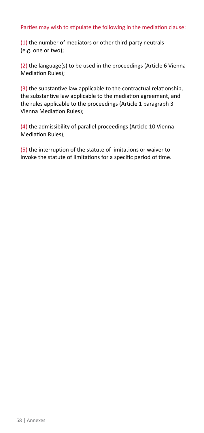#### Parties may wish to stipulate the following in the mediation clause:

(1) the number of mediators or other third-party neutrals (e.g. one or two);

(2) the language(s) to be used in the proceedings (Article 6 Vienna Mediation Rules);

(3) the substantive law applicable to the contractual relationship, the substantive law applicable to the mediation agreement, and the rules applicable to the proceedings (Article 1 paragraph 3 Vienna Mediation Rules);

(4) the admissibility of parallel proceedings (Article 10 Vienna Mediation Rules);

(5) the interruption of the statute of limitations or waiver to invoke the statute of limitations for a specific period of time.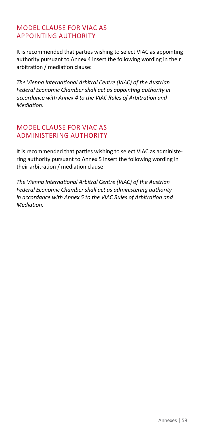#### MODEL CLAUSE FOR VIAC AS APPOINTING AUTHORITY

It is recommended that parties wishing to select VIAC as appointing authority pursuant to Annex 4 insert the following wording in their arbitration / mediation clause:

*The Vienna International Arbitral Centre (VIAC) of the Austrian Federal Economic Chamber shall act as appointing authority in accordance with Annex 4 to the VIAC Rules of Arbitration and Mediation.*

#### MODEL CLAUSE FOR VIAC AS ADMINISTERING AUTHORITY

It is recommended that parties wishing to select VIAC as administering authority pursuant to Annex 5 insert the following wording in their arbitration / mediation clause:

*The Vienna International Arbitral Centre (VIAC) of the Austrian Federal Economic Chamber shall act as administering authority in accordance with Annex 5 to the VIAC Rules of Arbitration and Mediation.*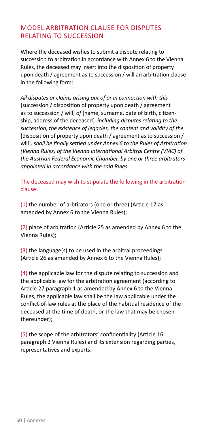#### MODEL ARBITRATION CLAUSE FOR DISPUTES RELATING TO SUCCESSION

Where the deceased wishes to submit a dispute relating to succession to arbitration in accordance with Annex 6 to the Vienna Rules, the deceased may insert into the disposition of property upon death / agreement as to succession / will an arbitration clause in the following form:

*All disputes or claims arising out of or in connection with this*  [succession / disposition of property upon death / agreement as to succession / will] *of* [name, surname, date of birth, citizenship, address of the deceased]*, including disputes relating to the succession, the existence of legacies, the content and validity of the*  [disposition of property upon death / agreement as to succession / will]*, shall be finally settled under Annex 6 to the Rules of Arbitration (Vienna Rules) of the Vienna International Arbitral Centre (VIAC) of the Austrian Federal Economic Chamber, by one or three arbitrators appointed in accordance with the said Rules.*

The deceased may wish to stipulate the following in the arbitration clause:

(1) the number of arbtirators (one or three) (Article 17 as amended by Annex 6 to the Vienna Rules);

(2) place of arbitration (Article 25 as amended by Annex 6 to the Vienna Rules);

(3) the language(s) to be used in the arbitral proceedings (Article 26 as amended by Annex 6 to the Vienna Rules);

(4) the applicable law for the dispute relating to succession and the applicable law for the arbitration agreement (according to Article 27 paragraph 1 as amended by Annex 6 to the Vienna Rules, the applicable law shall be the law applicable under the conflict-of-law rules at the place of the habitual residence of the deceased at the time of death, or the law that may be chosen thereunder);

(5) the scope of the arbitrators' confidentiality (Article 16 paragraph 2 Vienna Rules) and its extension regarding parties, representatives and experts.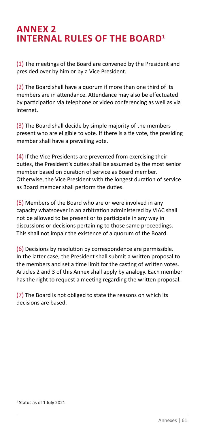## **ANNEX 2 INTERNAL RULES OF THE BOARD1**

(1) The meetings of the Board are convened by the President and presided over by him or by a Vice President.

(2) The Board shall have a quorum if more than one third of its members are in attendance. Attendance may also be effectuated by participation via telephone or video conferencing as well as via internet.

(3) The Board shall decide by simple majority of the members present who are eligible to vote. If there is a tie vote, the presiding member shall have a prevailing vote.

(4) If the Vice Presidents are prevented from exercising their duties, the President's duties shall be assumed by the most senior member based on duration of service as Board member. Otherwise, the Vice President with the longest duration of service as Board member shall perform the duties.

(5) Members of the Board who are or were involved in any capacity whatsoever in an arbitration administered by VIAC shall not be allowed to be present or to participate in any way in discussions or decisions pertaining to those same proceedings. This shall not impair the existence of a quorum of the Board.

(6) Decisions by resolution by correspondence are permissible. In the latter case, the President shall submit a written proposal to the members and set a time limit for the casting of written votes. Articles 2 and 3 of this Annex shall apply by analogy. Each member has the right to request a meeting regarding the written proposal.

(7) The Board is not obliged to state the reasons on which its decisions are based.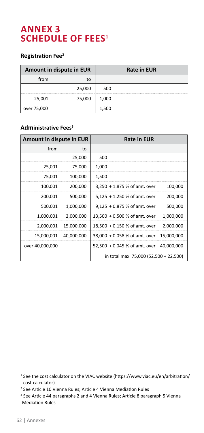## **ANNEX 3 SCHEDULE OF FEES1**

#### **Registration Fee2**

| Amount in dispute in EUR |        |       | <b>Rate in EUR</b> |
|--------------------------|--------|-------|--------------------|
| from                     | tο     |       |                    |
|                          | 25,000 | 500   |                    |
| 25,001                   | 75,000 | 1.000 |                    |
| over 75,000              |        | 1.500 |                    |

#### **Administrative Fees3**

| Amount in dispute in EUR |            | <b>Rate in EUR</b>                     |            |  |
|--------------------------|------------|----------------------------------------|------------|--|
| from                     | to         |                                        |            |  |
|                          | 25,000     | 500                                    |            |  |
| 25.001                   | 75.000     | 1,000                                  |            |  |
| 75.001                   | 100,000    | 1,500                                  |            |  |
| 100,001                  | 200,000    | 3,250 + 1.875 % of amt. over           | 100,000    |  |
| 200,001                  | 500,000    | $5.125 + 1.250$ % of amt. over         | 200.000    |  |
| 500,001                  | 1,000,000  | $9,125 + 0.875$ % of amt. over         | 500,000    |  |
| 1,000,001                | 2,000,000  | 13,500 + 0.500 % of amt. over          | 1.000.000  |  |
| 2,000,001                | 15,000,000 | 18,500 + 0.150 % of amt. over          | 2,000,000  |  |
| 15,000,001               | 40,000,000 | 38,000 + 0.058 % of amt. over          | 15,000,000 |  |
| over 40,000,000          |            | 52,500 + 0.045 % of amt. over          | 40.000.000 |  |
|                          |            | in total max. 75,000 (52,500 + 22,500) |            |  |

<sup>1</sup> See the cost calculator on the VIAC website (https://www.viac.eu/en/arbitration/ cost-calculator)

2 See Article 10 Vienna Rules; Article 4 Vienna Mediation Rules

<sup>3</sup> See Article 44 paragraphs 2 and 4 Vienna Rules; Article 8 paragraph 5 Vienna Mediation Rules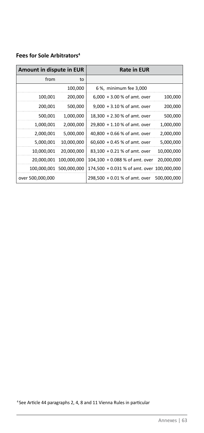#### **Fees for Sole Arbitrators<sup>4</sup>**

| Amount in dispute in EUR |                         | <b>Rate in EUR</b>                         |             |
|--------------------------|-------------------------|--------------------------------------------|-------------|
| from                     | to                      |                                            |             |
|                          | 100,000                 | 6 %, minimum fee 3,000                     |             |
| 100,001                  | 200,000                 | $6,000 + 3.00$ % of amt. over              | 100,000     |
| 200,001                  | 500,000                 | $9,000 + 3.10$ % of amt. over              | 200,000     |
| 500,001                  | 1,000,000               | 18,300 + 2.30 % of amt. over               | 500,000     |
| 1,000,001                | 2,000,000               | 29,800 + 1.10 % of amt. over               | 1,000,000   |
| 2,000,001                | 5,000,000               | $40,800 + 0.66$ % of amt. over             | 2,000,000   |
| 5,000,001                | 10,000,000              | $60,600 + 0.45$ % of amt. over             | 5,000,000   |
| 10,000,001               | 20.000.000              | 83,100 + 0.21 % of amt. over               | 10,000,000  |
| 20,000,001               | 100,000,000             | 104,100 + 0.088 % of amt. over             | 20,000,000  |
|                          | 100,000,001 500,000,000 | 174,500 + 0.031 % of amt. over 100,000,000 |             |
| over 500,000,000         |                         | 298,500 + 0.01 % of amt. over              | 500,000,000 |

<sup>4</sup>See Article 44 paragraphs 2, 4, 8 and 11 Vienna Rules in particular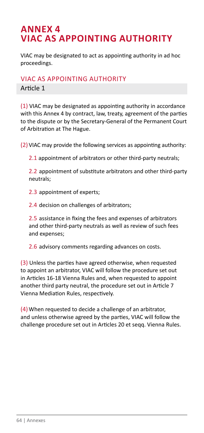## **ANNEX 4 VIAC AS APPOINTING AUTHORITY**

VIAC may be designated to act as appointing authority in ad hoc proceedings.

#### VIAC AS APPOINTING AUTHORITY

Article 1

(1) VIAC may be designated as appointing authority in accordance with this Annex 4 by contract, law, treaty, agreement of the parties to the dispute or by the Secretary-General of the Permanent Court of Arbitration at The Hague.

(2) VIAC may provide the following services as appointing authority:

2.1 appointment of arbitrators or other third-party neutrals;

2.2 appointment of substitute arbitrators and other third-party neutrals;

2.3 appointment of experts;

2.4 decision on challenges of arbitrators;

2.5 assistance in fixing the fees and expenses of arbitrators and other third-party neutrals as well as review of such fees and expenses;

2.6 advisory comments regarding advances on costs.

(3) Unless the parties have agreed otherwise, when requested to appoint an arbitrator, VIAC will follow the procedure set out in Articles 16-18 Vienna Rules and, when requested to appoint another third party neutral, the procedure set out in Article 7 Vienna Mediation Rules, respectively.

(4) When requested to decide a challenge of an arbitrator, and unless otherwise agreed by the parties, VIAC will follow the challenge procedure set out in Articles 20 et seqq. Vienna Rules.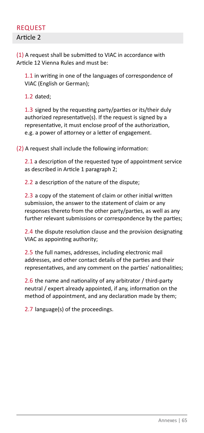#### REQUEST

#### Article 2

(1) A request shall be submitted to VIAC in accordance with Article 12 Vienna Rules and must be:

1.1 in writing in one of the languages of correspondence of VIAC (English or German);

1.2 dated;

1.3 signed by the requesting party/parties or its/their duly authorized representative(s). If the request is signed by a representative, it must enclose proof of the authorization, e.g. a power of attorney or a letter of engagement.

(2) A request shall include the following information:

2.1 a description of the requested type of appointment service as described in Article 1 paragraph 2;

2.2 a description of the nature of the dispute;

2.3 a copy of the statement of claim or other initial written submission, the answer to the statement of claim or any responses thereto from the other party/parties, as well as any further relevant submissions or correspondence by the parties;

2.4 the dispute resolution clause and the provision designating VIAC as appointing authority;

2.5 the full names, addresses, including electronic mail addresses, and other contact details of the parties and their representatives, and any comment on the parties' nationalities;

2.6 the name and nationality of any arbitrator / third-party neutral / expert already appointed, if any, information on the method of appointment, and any declaration made by them;

2.7 language(s) of the proceedings.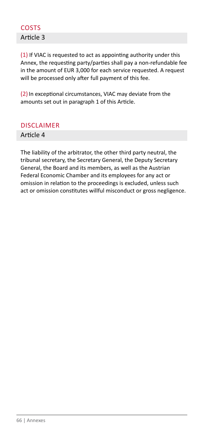### COSTS Article 3

(1) If VIAC is requested to act as appointing authority under this Annex, the requesting party/parties shall pay a non-refundable fee in the amount of EUR 3,000 for each service requested. A request will be processed only after full payment of this fee.

(2) In exceptional circumstances, VIAC may deviate from the amounts set out in paragraph 1 of this Article.

DISCLAIMER Article 4

The liability of the arbitrator, the other third party neutral, the tribunal secretary, the Secretary General, the Deputy Secretary General, the Board and its members, as well as the Austrian Federal Economic Chamber and its employees for any act or omission in relation to the proceedings is excluded, unless such act or omission constitutes willful misconduct or gross negligence.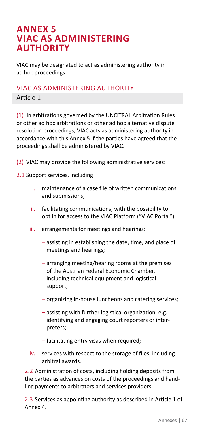## **ANNEX 5 VIAC AS ADMINISTERING AUTHORITY**

VIAC may be designated to act as administering authority in ad hoc proceedings.

#### VIAC AS ADMINISTERING AUTHORITY Article 1

(1) In arbitrations governed by the UNCITRAL Arbitration Rules or other ad hoc arbitrations or other ad hoc alternative dispute resolution proceedings, VIAC acts as administering authority in accordance with this Annex 5 if the parties have agreed that the proceedings shall be administered by VIAC.

- (2) VIAC may provide the following administrative services:
- 2.1 Support services, including
	- i. maintenance of a case file of written communications and submissions;
	- ii. facilitating communications, with the possibility to opt in for access to the VIAC Platform ("VIAC Portal");
	- iii. arrangements for meetings and hearings:
		- assisting in establishing the date, time, and place of meetings and hearings;
		- arranging meeting/hearing rooms at the premises of the Austrian Federal Economic Chamber, including technical equipment and logistical support;
		- organizing in-house luncheons and catering services;
		- assisting with further logistical organization, e.g. identifying and engaging court reporters or interpreters;
		- facilitating entry visas when required;
	- iv. services with respect to the storage of files, including arbitral awards.

2.2 Administration of costs, including holding deposits from the parties as advances on costs of the proceedings and handling payments to arbitrators and services providers.

2.3 Services as appointing authority as described in Article 1 of Annex 4.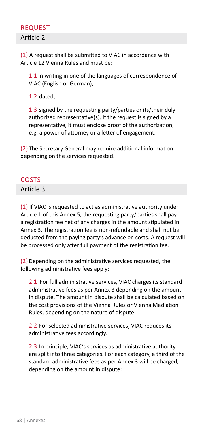#### REQUEST

#### Article 2

(1) A request shall be submitted to VIAC in accordance with Article 12 Vienna Rules and must be:

1.1 in writing in one of the languages of correspondence of VIAC (English or German);

1.2 dated;

1.3 signed by the requesting party/parties or its/their duly authorized representative(s). If the request is signed by a representative, it must enclose proof of the authorization, e.g. a power of attorney or a letter of engagement.

(2) The Secretary General may require additional information depending on the services requested.

#### COSTS

Article 3

(1) If VIAC is requested to act as administrative authority under Article 1 of this Annex 5, the requesting party/parties shall pay a registration fee net of any charges in the amount stipulated in Annex 3. The registration fee is non-refundable and shall not be deducted from the paying party's advance on costs. A request will be processed only after full payment of the registration fee.

(2) Depending on the administrative services requested, the following administrative fees apply:

2.1 For full administrative services, VIAC charges its standard administrative fees as per Annex 3 depending on the amount in dispute. The amount in dispute shall be calculated based on the cost provisions of the Vienna Rules or Vienna Mediation Rules, depending on the nature of dispute.

2.2 For selected administrative services, VIAC reduces its administrative fees accordingly.

2.3 In principle, VIAC's services as administrative authority are split into three categories. For each category, a third of the standard administrative fees as per Annex 3 will be charged, depending on the amount in dispute: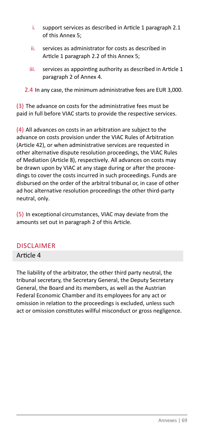- i. support services as described in Article 1 paragraph 2.1 of this Annex 5;
- ii. services as administrator for costs as described in Article 1 paragraph 2.2 of this Annex 5;
- iii. services as appointing authority as described in Article 1 paragraph 2 of Annex 4.
- 2.4 In any case, the minimum administrative fees are EUR 3,000.

(3) The advance on costs for the administrative fees must be paid in full before VIAC starts to provide the respective services.

(4) All advances on costs in an arbitration are subject to the advance on costs provision under the VIAC Rules of Arbitration (Article 42), or when administrative services are requested in other alternative dispute resolution proceedings, the VIAC Rules of Mediation (Article 8), respectively. All advances on costs may be drawn upon by VIAC at any stage during or after the proceedings to cover the costs incurred in such proceedings. Funds are disbursed on the order of the arbitral tribunal or, in case of other ad hoc alternative resolution proceedings the other third-party neutral, only.

(5) In exceptional circumstances, VIAC may deviate from the amounts set out in paragraph 2 of this Article.

#### DISCLAIMER

#### Article 4

The liability of the arbitrator, the other third party neutral, the tribunal secretary, the Secretary General, the Deputy Secretary General, the Board and its members, as well as the Austrian Federal Economic Chamber and its employees for any act or omission in relation to the proceedings is excluded, unless such act or omission constitutes willful misconduct or gross negligence.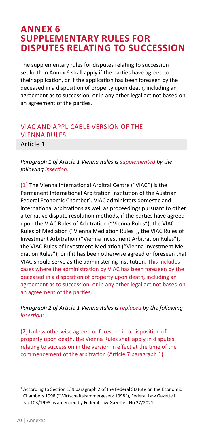## **ANNEX 6 SUPPLEMENTARY RULES FOR DISPUTES RELATING TO SUCCESSION**

The supplementary rules for disputes relating to succession set forth in Annex 6 shall apply if the parties have agreed to their application, or if the application has been foreseen by the deceased in a disposition of property upon death, including an agreement as to succession, or in any other legal act not based on an agreement of the parties.

#### VIAC AND APPLICABLE VERSION OF THE VIENNA RULES

Article 1

#### *Paragraph 1 of Article 1 Vienna Rules is supplemented by the following insertion:*

(1) The Vienna International Arbitral Centre ("VIAC") is the Permanent International Arbitration Institution of the Austrian Federal Economic Chamber<sup>1</sup>. VIAC administers domestic and international arbitrations as well as proceedings pursuant to other alternative dispute resolution methods, if the parties have agreed upon the VIAC Rules of Arbitration ("Vienna Rules"), the VIAC Rules of Mediation ("Vienna Mediation Rules"), the VIAC Rules of Investment Arbitration ("Vienna Investment Arbitration Rules"), the VIAC Rules of Investment Mediation ("Vienna Investment Mediation Rules"); or if it has been otherwise agreed or foreseen that VIAC should serve as the administering institution. This includes cases where the administration by VIAC has been foreseen by the deceased in a disposition of property upon death, including an agreement as to succession, or in any other legal act not based on an agreement of the parties.

#### *Paragraph 2 of Article 1 Vienna Rules is replaced by the following insertion:*

(2)Unless otherwise agreed or foreseen in a disposition of property upon death, the Vienna Rules shall apply in disputes relating to succession in the version in effect at the time of the commencement of the arbitration (Article 7 paragraph 1).

<sup>&</sup>lt;sup>1</sup> According to Section 139 paragraph 2 of the Federal Statute on the Economic Chambers 1998 ("Wirtschaftskammergesetz 1998"), Federal Law Gazette I No 103/1998 as amended by Federal Law Gazette I No 27/2021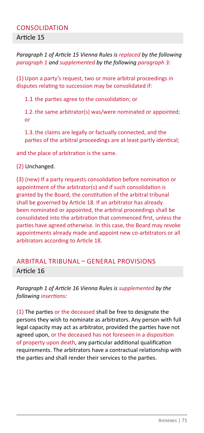#### CONSOLIDATION

Article 15

*Paragraph 1 of Article 15 Vienna Rules is replaced by the following paragraph 1 and supplemented by the following paragraph 3:*

(1)Upon a party's request, two or more arbitral proceedings in disputes relating to succession may be consolidated if:

1.1 the parties agree to the consolidation; or

1.2.the same arbitrator(s) was/were nominated or appointed; or

1.3.the claims are legally or factually connected, and the parties of the arbitral proceedings are at least partly identical;

and the place of arbitration is the same.

(2) Unchanged.

(3) (new) If a party requests consolidation before nomination or appointment of the arbitrator(s) and if such consolidation is granted by the Board, the constitution of the arbitral tribunal shall be governed by Article 18. If an arbitrator has already been nominated or appointed, the arbitral proceedings shall be consolidated into the arbitration that commenced first, unless the parties have agreed otherwise. In this case, the Board may revoke appointments already made and appoint new co-arbitrators or all arbitrators according to Article 18.

#### ARBITRAL TRIBUNAL – GENERAL PROVISIONS Article 16

*Paragraph 1 of Article 16 Vienna Rules is supplemented by the following insertions:*

(1) The parties or the deceased shall be free to designate the persons they wish to nominate as arbitrators. Any person with full legal capacity may act as arbitrator, provided the parties have not agreed upon, or the deceased has not foreseen in a disposition of property upon death, any particular additional qualification requirements. The arbitrators have a contractual relationship with the parties and shall render their services to the parties.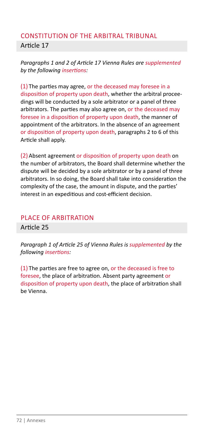#### CONSTITUTION OF THE ARBITRAL TRIBUNAL Article 17

*Paragraphs 1 and 2 of Article 17 Vienna Rules are supplemented by the following insertions:*

(1) The parties may agree, or the deceased may foresee in a disposition of property upon death, whether the arbitral proceedings will be conducted by a sole arbitrator or a panel of three arbitrators. The parties may also agree on, or the deceased may foresee in a disposition of property upon death, the manner of appointment of the arbitrators. In the absence of an agreement or disposition of property upon death, paragraphs 2 to 6 of this Article shall apply.

(2) Absent agreement or disposition of property upon death on the number of arbitrators, the Board shall determine whether the dispute will be decided by a sole arbitrator or by a panel of three arbitrators. In so doing, the Board shall take into consideration the complexity of the case, the amount in dispute, and the parties' interest in an expeditious and cost-efficient decision.

#### PLACE OF ARBITRATION Article 25

*Paragraph 1 of Article 25 of Vienna Rules is supplemented by the following insertions:*

(1) The parties are free to agree on, or the deceased is free to foresee, the place of arbitration. Absent party agreement or disposition of property upon death, the place of arbitration shall be Vienna.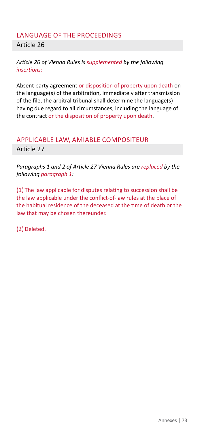## LANGUAGE OF THE PROCEEDINGS Article 26

*Article 26 of Vienna Rules is supplemented by the following insertions:*

Absent party agreement or disposition of property upon death on the language(s) of the arbitration, immediately after transmission of the file, the arbitral tribunal shall determine the language(s) having due regard to all circumstances, including the language of the contract or the disposition of property upon death.

## APPLICABLE LAW, AMIABLE COMPOSITEUR

Article 27

*Paragraphs 1 and 2 of Article 27 Vienna Rules are replaced by the following paragraph 1:*

(1) The law applicable for disputes relating to succession shall be the law applicable under the conflict-of-law rules at the place of the habitual residence of the deceased at the time of death or the law that may be chosen thereunder.

(2) Deleted.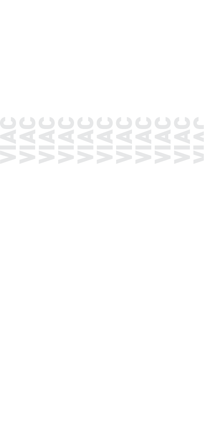## SSSSSSSSSSSSS